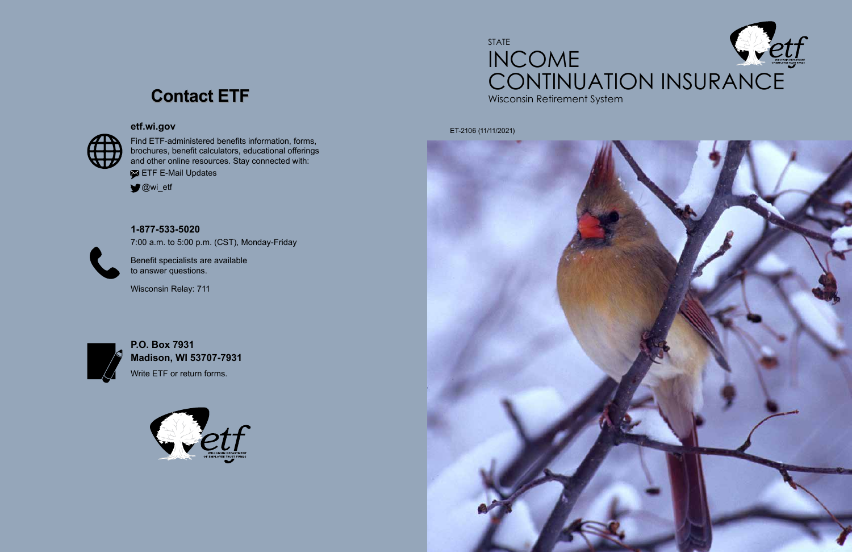## STATE INCOME **CONTINUATION INSURANCE**<br>Wisconsin Retirement System

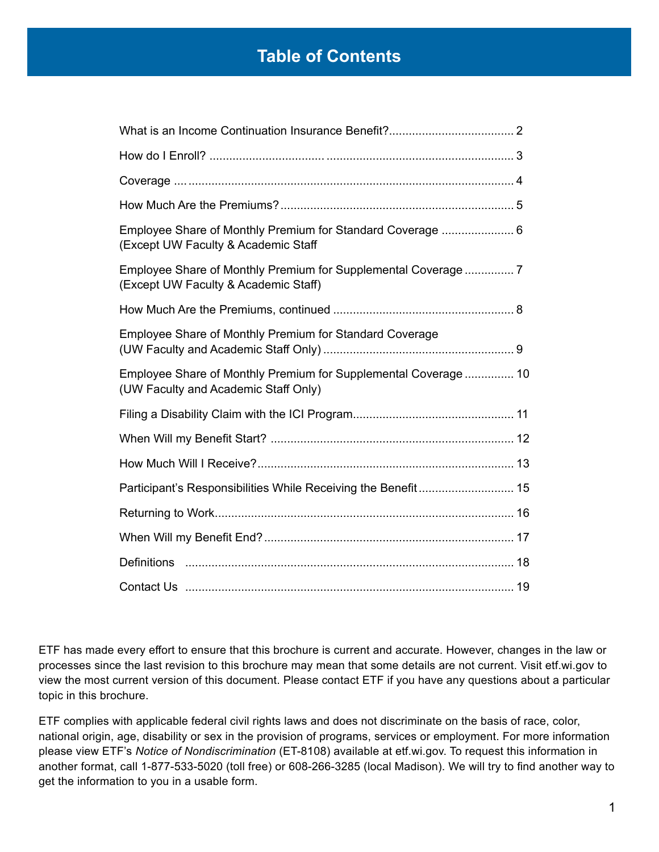## **Table of Contents**

| Employee Share of Monthly Premium for Standard Coverage  6<br>(Except UW Faculty & Academic Staff       |  |
|---------------------------------------------------------------------------------------------------------|--|
| Employee Share of Monthly Premium for Supplemental Coverage 7<br>(Except UW Faculty & Academic Staff)   |  |
|                                                                                                         |  |
| Employee Share of Monthly Premium for Standard Coverage                                                 |  |
| Employee Share of Monthly Premium for Supplemental Coverage  10<br>(UW Faculty and Academic Staff Only) |  |
|                                                                                                         |  |
|                                                                                                         |  |
|                                                                                                         |  |
| Participant's Responsibilities While Receiving the Benefit 15                                           |  |
|                                                                                                         |  |
|                                                                                                         |  |
|                                                                                                         |  |
|                                                                                                         |  |

ETF has made every effort to ensure that this brochure is current and accurate. However, changes in the law or processes since the last revision to this brochure may mean that some details are not current. Visit etf.wi.gov to view the most current version of this document. Please contact ETF if you have any questions about a particular topic in this brochure.

ETF complies with applicable federal civil rights laws and does not discriminate on the basis of race, color, national origin, age, disability or sex in the provision of programs, services or employment. For more information please view ETF's *Notice of Nondiscrimination* (ET-8108) available at etf.wi.gov. To request this information in another format, call 1-877-533-5020 (toll free) or 608-266-3285 (local Madison). We will try to find another way to get the information to you in a usable form.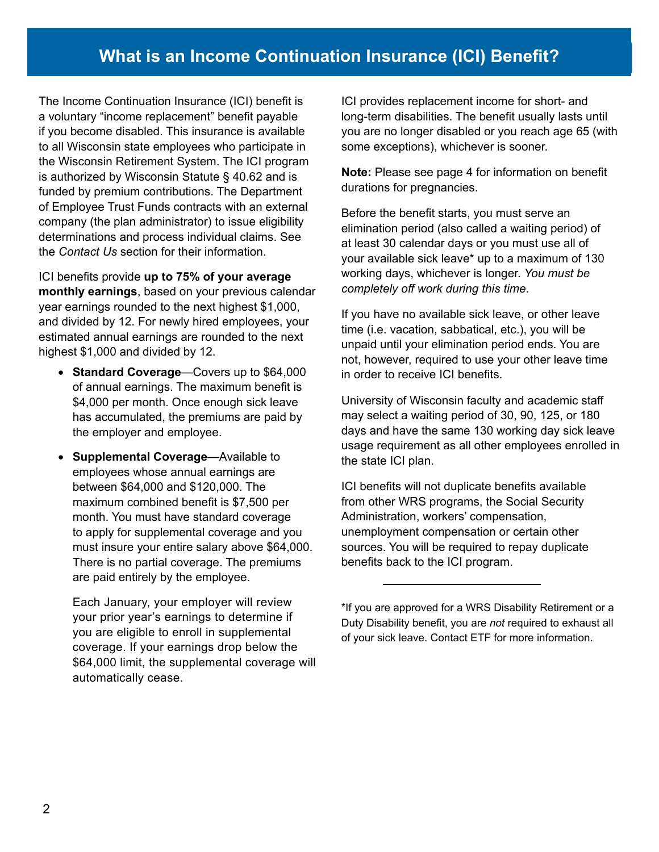## **What is an Income Continuation Insurance (ICI) Benefit?**

The Income Continuation Insurance (ICI) benefit is a voluntary "income replacement" benefit payable if you become disabled. This insurance is available to all Wisconsin state employees who participate in the Wisconsin Retirement System. The ICI program is authorized by Wisconsin Statute § 40.62 and is funded by premium contributions. The Department of Employee Trust Funds contracts with an external company (the plan administrator) to issue eligibility determinations and process individual claims. See the *Contact Us* section for their information.

ICI benefits provide **up to 75% of your average monthly earnings**, based on your previous calendar year earnings rounded to the next highest \$1,000, and divided by 12. For newly hired employees, your estimated annual earnings are rounded to the next highest \$1,000 and divided by 12.

- **Standard Coverage**—Covers up to \$64,000 of annual earnings. The maximum benefit is \$4,000 per month. Once enough sick leave has accumulated, the premiums are paid by the employer and employee.
- **Supplemental Coverage**—Available to employees whose annual earnings are between \$64,000 and \$120,000. The maximum combined benefit is \$7,500 per month. You must have standard coverage to apply for supplemental coverage and you must insure your entire salary above \$64,000. There is no partial coverage. The premiums are paid entirely by the employee.

Each January, your employer will review your prior year's earnings to determine if you are eligible to enroll in supplemental coverage. If your earnings drop below the \$64,000 limit, the supplemental coverage will automatically cease.

ICI provides replacement income for short- and long-term disabilities. The benefit usually lasts until you are no longer disabled or you reach age 65 (with some exceptions), whichever is sooner.

**Note:** Please see page 4 for information on benefit durations for pregnancies.

Before the benefit starts, you must serve an elimination period (also called a waiting period) of at least 30 calendar days or you must use all of your available sick leave\* up to a maximum of 130 working days, whichever is longer. *You must be completely off work during this time*.

If you have no available sick leave, or other leave time (i.e. vacation, sabbatical, etc.), you will be unpaid until your elimination period ends. You are not, however, required to use your other leave time in order to receive ICI benefits.

University of Wisconsin faculty and academic staff may select a waiting period of 30, 90, 125, or 180 days and have the same 130 working day sick leave usage requirement as all other employees enrolled in the state ICI plan.

ICI benefits will not duplicate benefits available from other WRS programs, the Social Security Administration, workers' compensation, unemployment compensation or certain other sources. You will be required to repay duplicate benefits back to the ICI program.

<sup>\*</sup>If you are approved for a WRS Disability Retirement or a Duty Disability benefit, you are *not* required to exhaust all of your sick leave. Contact ETF for more information.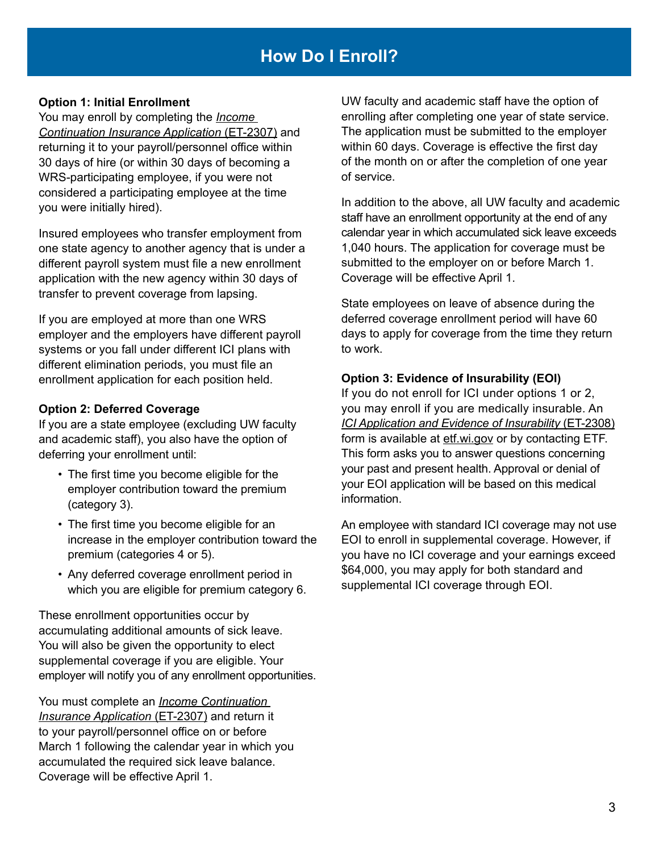## **How Do I Enroll?**

#### **Option 1: Initial Enrollment**

You may enroll by completing the *[Income](http://etf.wi.gov/publications/et2307.pdf)  [Continuation Insurance Application](http://etf.wi.gov/publications/et2307.pdf)* (ET-2307) and returning it to your payroll/personnel office within 30 days of hire (or within 30 days of becoming a WRS-participating employee, if you were not considered a participating employee at the time you were initially hired).

Insured employees who transfer employment from one state agency to another agency that is under a different payroll system must file a new enrollment application with the new agency within 30 days of transfer to prevent coverage from lapsing.

If you are employed at more than one WRS employer and the employers have different payroll systems or you fall under different ICI plans with different elimination periods, you must file an enrollment application for each position held.

#### **Option 2: Deferred Coverage**

If you are a state employee (excluding UW faculty and academic staff), you also have the option of deferring your enrollment until:

- The first time you become eligible for the employer contribution toward the premium (category 3).
- The first time you become eligible for an increase in the employer contribution toward the premium (categories 4 or 5).
- Any deferred coverage enrollment period in which you are eligible for premium category 6.

These enrollment opportunities occur by accumulating additional amounts of sick leave. You will also be given the opportunity to elect supplemental coverage if you are eligible. Your employer will notify you of any enrollment opportunities.

You must complete an *[Income Continuation](http://etf.wi.gov/publications/et2307.pdf)  [Insurance Application](http://etf.wi.gov/publications/et2307.pdf)* (ET-2307) and return it to your payroll/personnel office on or before March 1 following the calendar year in which you accumulated the required sick leave balance. Coverage will be effective April 1.

UW faculty and academic staff have the option of enrolling after completing one year of state service. The application must be submitted to the employer within 60 days. Coverage is effective the first day of the month on or after the completion of one year of service.

In addition to the above, all UW faculty and academic staff have an enrollment opportunity at the end of any calendar year in which accumulated sick leave exceeds 1,040 hours. The application for coverage must be submitted to the employer on or before March 1. Coverage will be effective April 1.

State employees on leave of absence during the deferred coverage enrollment period will have 60 days to apply for coverage from the time they return to work.

#### **Option 3: Evidence of Insurability (EOI)**

If you do not enroll for ICI under options 1 or 2, you may enroll if you are medically insurable. An *[ICI Application and Evidence of Insurability](http://etf.wi.gov/publications/et2308.pdf)* (ET-2308) [form](http://etf.wi.gov/publications/et2308.pdf) is available at [etf.wi.gov o](http://etf.wi.gov )r by contacting ETF. This form asks you to answer questions concerning your past and present health. Approval or denial of your EOI application will be based on this medical information.

An employee with standard ICI coverage may not use EOI to enroll in supplemental coverage. However, if you have no ICI coverage and your earnings exceed \$64,000, you may apply for both standard and supplemental ICI coverage through EOI.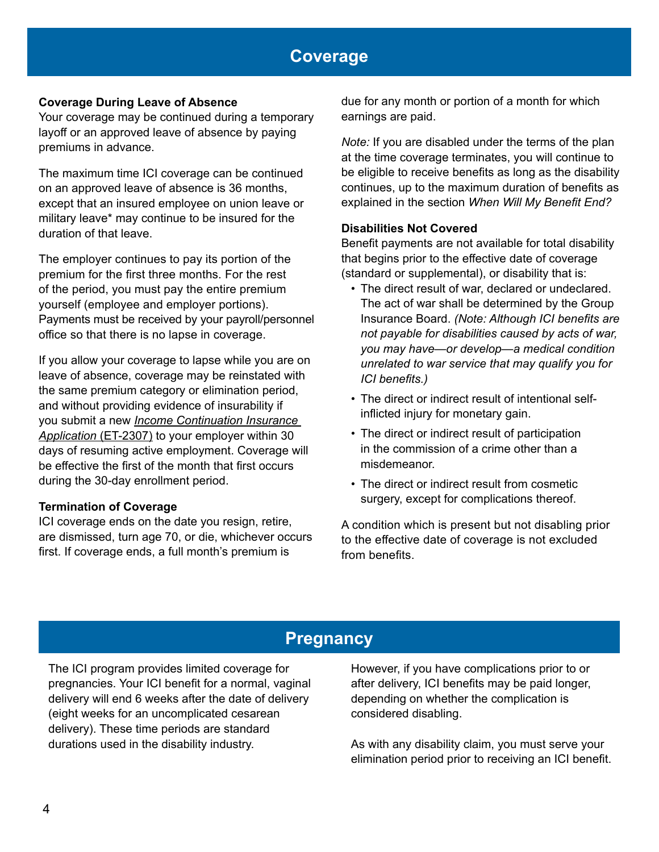## **Coverage**

#### **Coverage During Leave of Absence**

Your coverage may be continued during a temporary layoff or an approved leave of absence by paying premiums in advance.

The maximum time ICI coverage can be continued on an approved leave of absence is 36 months, except that an insured employee on union leave or military leave\* may continue to be insured for the duration of that leave.

The employer continues to pay its portion of the premium for the first three months. For the rest of the period, you must pay the entire premium yourself (employee and employer portions). Payments must be received by your payroll/personnel office so that there is no lapse in coverage.

If you allow your coverage to lapse while you are on leave of absence, coverage may be reinstated with the same premium category or elimination period, and without providing evidence of insurability if you submit a new *[Income Continuation Insurance](http://etf.wi.gov/publications/et2307.pdf)  [Application](http://etf.wi.gov/publications/et2307.pdf)* (ET-2307) to your employer within 30 days of resuming active employment. Coverage will be effective the first of the month that first occurs during the 30-day enrollment period.

#### **Termination of Coverage**

ICI coverage ends on the date you resign, retire, are dismissed, turn age 70, or die, whichever occurs first. If coverage ends, a full month's premium is

due for any month or portion of a month for which earnings are paid.

*Note:* If you are disabled under the terms of the plan at the time coverage terminates, you will continue to be eligible to receive benefits as long as the disability continues, up to the maximum duration of benefits as explained in the section *When Will My Benefit End?*

#### **Disabilities Not Covered**

Benefit payments are not available for total disability that begins prior to the effective date of coverage (standard or supplemental), or disability that is:

- The direct result of war, declared or undeclared. The act of war shall be determined by the Group Insurance Board. *(Note: Although ICI benefits are not payable for disabilities caused by acts of war, you may have—or develop—a medical condition unrelated to war service that may qualify you for ICI benefits.)*
- The direct or indirect result of intentional selfinflicted injury for monetary gain.
- The direct or indirect result of participation in the commission of a crime other than a misdemeanor.
- The direct or indirect result from cosmetic surgery, except for complications thereof.

A condition which is present but not disabling prior to the effective date of coverage is not excluded from benefits.

## **Pregnancy**

The ICI program provides limited coverage for pregnancies. Your ICI benefit for a normal, vaginal delivery will end 6 weeks after the date of delivery (eight weeks for an uncomplicated cesarean delivery). These time periods are standard durations used in the disability industry.

However, if you have complications prior to or after delivery, ICI benefits may be paid longer, depending on whether the complication is considered disabling.

As with any disability claim, you must serve your elimination period prior to receiving an ICI benefit.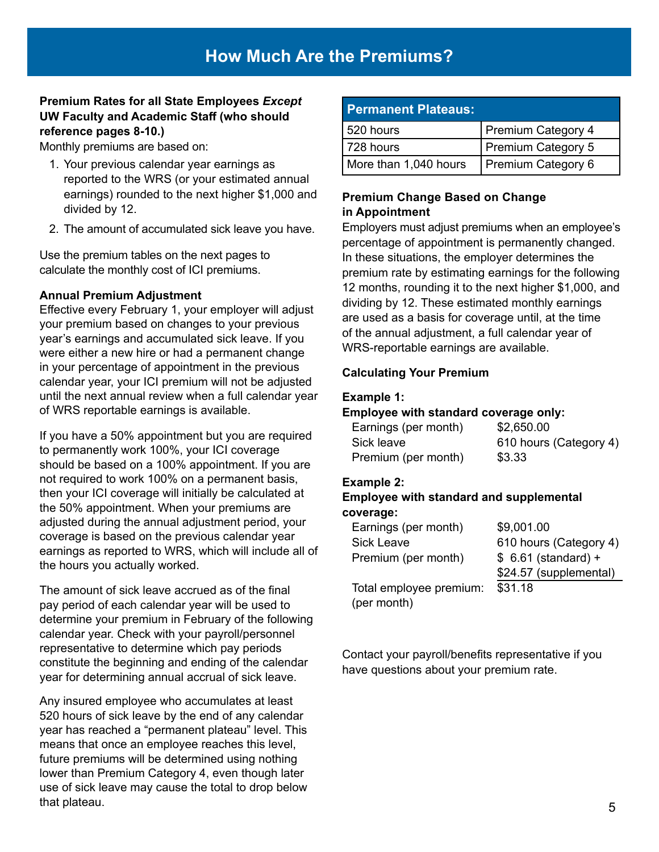#### **Premium Rates for all State Employees** *Except*  **UW Faculty and Academic Staff (who should reference pages 8-10.)**

Monthly premiums are based on:

- 1. Your previous calendar year earnings as reported to the WRS (or your estimated annual earnings) rounded to the next higher \$1,000 and divided by 12.
- 2. The amount of accumulated sick leave you have.

Use the premium tables on the next pages to calculate the monthly cost of ICI premiums.

#### **Annual Premium Adjustment**

Effective every February 1, your employer will adjust your premium based on changes to your previous year's earnings and accumulated sick leave. If you were either a new hire or had a permanent change in your percentage of appointment in the previous calendar year, your ICI premium will not be adjusted until the next annual review when a full calendar year of WRS reportable earnings is available.

If you have a 50% appointment but you are required to permanently work 100%, your ICI coverage should be based on a 100% appointment. If you are not required to work 100% on a permanent basis, then your ICI coverage will initially be calculated at the 50% appointment. When your premiums are adjusted during the annual adjustment period, your coverage is based on the previous calendar year earnings as reported to WRS, which will include all of the hours you actually worked.

The amount of sick leave accrued as of the final pay period of each calendar year will be used to determine your premium in February of the following calendar year. Check with your payroll/personnel representative to determine which pay periods constitute the beginning and ending of the calendar year for determining annual accrual of sick leave.

Any insured employee who accumulates at least 520 hours of sick leave by the end of any calendar year has reached a "permanent plateau" level. This means that once an employee reaches this level, future premiums will be determined using nothing lower than Premium Category 4, even though later use of sick leave may cause the total to drop below that plateau.

| <b>Permanent Plateaus:</b> |                    |
|----------------------------|--------------------|
| 520 hours                  | Premium Category 4 |
| 728 hours                  | Premium Category 5 |
| More than 1,040 hours      | Premium Category 6 |

#### **Premium Change Based on Change in Appointment**

Employers must adjust premiums when an employee's percentage of appointment is permanently changed. In these situations, the employer determines the premium rate by estimating earnings for the following 12 months, rounding it to the next higher \$1,000, and dividing by 12. These estimated monthly earnings are used as a basis for coverage until, at the time of the annual adjustment, a full calendar year of WRS-reportable earnings are available.

#### **Calculating Your Premium**

#### **Example 1:**

#### **Employee with standard coverage only:**

| Earnings (per month) | \$2,650.00             |
|----------------------|------------------------|
| Sick leave           | 610 hours (Category 4) |
| Premium (per month)  | \$3.33                 |

#### **Example 2:**

#### **Employee with standard and supplemental coverage:**

| Earnings (per month)    | \$9,001.00             |
|-------------------------|------------------------|
| <b>Sick Leave</b>       | 610 hours (Category 4) |
| Premium (per month)     | $$6.61$ (standard) +   |
|                         | \$24.57 (supplemental) |
| Total employee premium: | \$31.18                |
| (per month)             |                        |

Contact your payroll/benefits representative if you have questions about your premium rate.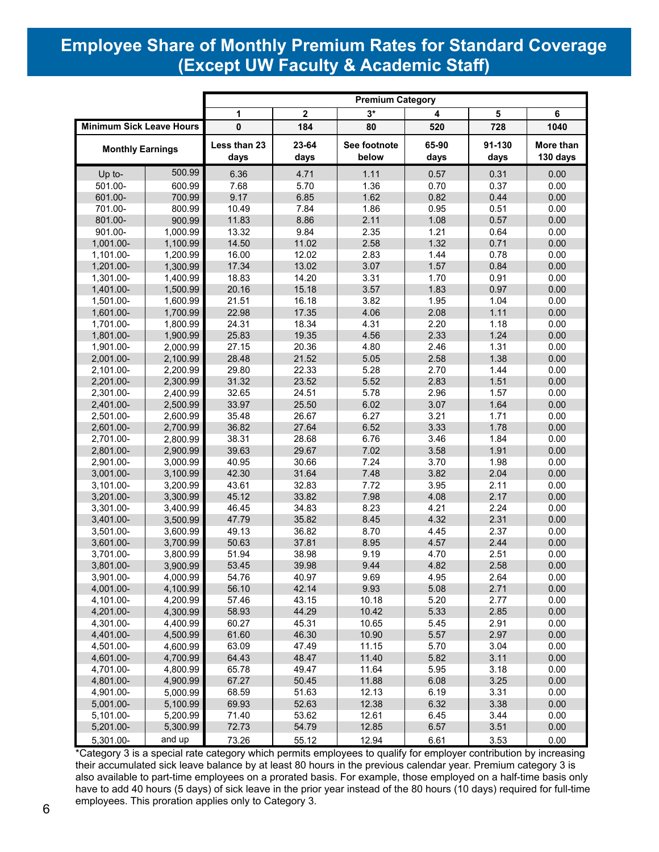## **Employee Share of Monthly Premium Rates for Standard Coverage (Except UW Faculty & Academic Staff)**

|                                 |          |              | <b>Premium Category</b> |              |       |        |           |  |  |  |
|---------------------------------|----------|--------------|-------------------------|--------------|-------|--------|-----------|--|--|--|
|                                 |          | 1            | $\mathbf 2$             | $3*$         | 4     | 5      | 6         |  |  |  |
| <b>Minimum Sick Leave Hours</b> |          | $\pmb{0}$    | 184                     | 80           | 520   | 728    | 1040      |  |  |  |
| <b>Monthly Earnings</b>         |          | Less than 23 | 23-64                   | See footnote | 65-90 | 91-130 | More than |  |  |  |
|                                 |          | days         | days                    | below        | days  | days   | 130 days  |  |  |  |
| Up to-                          | 500.99   | 6.36         | 4.71                    | 1.11         | 0.57  | 0.31   | 0.00      |  |  |  |
| 501.00-                         | 600.99   | 7.68         | 5.70                    | 1.36         | 0.70  | 0.37   | 0.00      |  |  |  |
| 601.00-                         | 700.99   | 9.17         | 6.85                    | 1.62         | 0.82  | 0.44   | 0.00      |  |  |  |
| 701.00-                         | 800.99   | 10.49        | 7.84                    | 1.86         | 0.95  | 0.51   | 0.00      |  |  |  |
| 801.00-                         | 900.99   | 11.83        | 8.86                    | 2.11         | 1.08  | 0.57   | 0.00      |  |  |  |
| 901.00-                         | 1,000.99 | 13.32        | 9.84                    | 2.35         | 1.21  | 0.64   | 0.00      |  |  |  |
| 1,001.00-                       | 1,100.99 | 14.50        | 11.02                   | 2.58         | 1.32  | 0.71   | 0.00      |  |  |  |
| 1,101.00-                       | 1,200.99 | 16.00        | 12.02                   | 2.83         | 1.44  | 0.78   | 0.00      |  |  |  |
| 1,201.00-                       | 1,300.99 | 17.34        | 13.02                   | 3.07         | 1.57  | 0.84   | 0.00      |  |  |  |
| 1,301.00-                       | 1,400.99 | 18.83        | 14.20                   | 3.31         | 1.70  | 0.91   | 0.00      |  |  |  |
| 1,401.00-                       | 1,500.99 | 20.16        | 15.18                   | 3.57         | 1.83  | 0.97   | 0.00      |  |  |  |
| 1,501.00-                       | 1,600.99 | 21.51        | 16.18                   | 3.82         | 1.95  | 1.04   | 0.00      |  |  |  |
| 1,601.00-                       | 1,700.99 | 22.98        | 17.35                   | 4.06         | 2.08  | 1.11   | 0.00      |  |  |  |
| 1,701.00-                       | 1,800.99 | 24.31        | 18.34                   | 4.31         | 2.20  | 1.18   | 0.00      |  |  |  |
| 1,801.00-                       | 1,900.99 | 25.83        | 19.35                   | 4.56         | 2.33  | 1.24   | 0.00      |  |  |  |
| 1,901.00-                       | 2,000.99 | 27.15        | 20.36                   | 4.80         | 2.46  | 1.31   | 0.00      |  |  |  |
| 2,001.00-                       | 2,100.99 | 28.48        | 21.52                   | 5.05         | 2.58  | 1.38   | 0.00      |  |  |  |
| 2,101.00-                       | 2,200.99 | 29.80        | 22.33                   | 5.28         | 2.70  | 1.44   | 0.00      |  |  |  |
| 2,201.00-                       | 2,300.99 | 31.32        | 23.52                   | 5.52         | 2.83  | 1.51   | 0.00      |  |  |  |
| 2,301.00-                       | 2,400.99 | 32.65        | 24.51                   | 5.78         | 2.96  | 1.57   | 0.00      |  |  |  |
| 2,401.00-                       | 2,500.99 | 33.97        | 25.50                   | 6.02         | 3.07  | 1.64   | 0.00      |  |  |  |
| 2,501.00-                       | 2,600.99 | 35.48        | 26.67                   | 6.27         | 3.21  | 1.71   | 0.00      |  |  |  |
| 2,601.00-                       | 2,700.99 | 36.82        | 27.64                   | 6.52         | 3.33  | 1.78   | 0.00      |  |  |  |
| 2,701.00-                       | 2,800.99 | 38.31        | 28.68                   | 6.76         | 3.46  | 1.84   | 0.00      |  |  |  |
| 2,801.00-                       | 2,900.99 | 39.63        | 29.67                   | 7.02         | 3.58  | 1.91   | 0.00      |  |  |  |
| 2,901.00-                       | 3,000.99 | 40.95        | 30.66                   | 7.24         | 3.70  | 1.98   | 0.00      |  |  |  |
| 3,001.00-                       | 3,100.99 | 42.30        | 31.64                   | 7.48         | 3.82  | 2.04   | 0.00      |  |  |  |
| 3,101.00-                       | 3,200.99 | 43.61        | 32.83                   | 7.72         | 3.95  | 2.11   | 0.00      |  |  |  |
| 3,201.00-                       | 3,300.99 | 45.12        | 33.82                   | 7.98         | 4.08  | 2.17   | 0.00      |  |  |  |
| 3,301.00-                       | 3,400.99 | 46.45        | 34.83                   | 8.23         | 4.21  | 2.24   | 0.00      |  |  |  |
| 3,401.00-                       | 3,500.99 | 47.79        | 35.82                   | 8.45         | 4.32  | 2.31   | 0.00      |  |  |  |
| 3,501.00-                       | 3,600.99 | 49.13        | 36.82                   | 8.70         | 4.45  | 2.37   | 0.00      |  |  |  |
| 3,601.00-                       | 3,700.99 | 50.63        | 37.81                   | 8.95         | 4.57  | 2.44   | 0.00      |  |  |  |
| 3,701.00-                       | 3,800.99 | 51.94        | 38.98                   | 9.19         | 4.70  | 2.51   | 0.00      |  |  |  |
| 3,801.00-                       | 3,900.99 | 53.45        | 39.98                   | 9.44         | 4.82  | 2.58   | 0.00      |  |  |  |
| 3,901.00-                       | 4,000.99 | 54.76        | 40.97                   | 9.69         | 4.95  | 2.64   | 0.00      |  |  |  |
| 4,001.00-                       | 4,100.99 | 56.10        | 42.14                   | 9.93         | 5.08  | 2.71   | 0.00      |  |  |  |
| 4,101.00-                       | 4,200.99 | 57.46        | 43.15                   | 10.18        | 5.20  | 2.77   | 0.00      |  |  |  |
| 4,201.00-                       | 4,300.99 | 58.93        | 44.29                   | 10.42        | 5.33  | 2.85   | 0.00      |  |  |  |
| 4,301.00-                       | 4,400.99 | 60.27        | 45.31                   | 10.65        | 5.45  | 2.91   | 0.00      |  |  |  |
| 4,401.00-                       | 4,500.99 | 61.60        | 46.30                   | 10.90        | 5.57  | 2.97   | 0.00      |  |  |  |
| 4,501.00-                       | 4,600.99 | 63.09        | 47.49                   | 11.15        | 5.70  | 3.04   | 0.00      |  |  |  |
| 4,601.00-                       | 4,700.99 | 64.43        | 48.47                   | 11.40        | 5.82  | 3.11   | 0.00      |  |  |  |
| 4,701.00-                       | 4,800.99 | 65.78        | 49.47                   | 11.64        | 5.95  | 3.18   | 0.00      |  |  |  |
| 4,801.00-                       | 4,900.99 | 67.27        | 50.45                   | 11.88        | 6.08  | 3.25   | 0.00      |  |  |  |
| 4,901.00-                       | 5.000.99 | 68.59        | 51.63                   | 12.13        | 6.19  | 3.31   | 0.00      |  |  |  |
| 5,001.00-                       | 5,100.99 | 69.93        | 52.63                   | 12.38        | 6.32  | 3.38   | 0.00      |  |  |  |
| 5,101.00-                       | 5,200.99 | 71.40        | 53.62                   | 12.61        | 6.45  | 3.44   | 0.00      |  |  |  |
| 5,201.00-                       | 5,300.99 | 72.73        | 54.79                   | 12.85        | 6.57  | 3.51   | 0.00      |  |  |  |
| 5,301.00-                       | and up   | 73.26        | 55.12                   | 12.94        | 6.61  | 3.53   | 0.00      |  |  |  |

\*Category 3 is a special rate category which permits employees to qualify for employer contribution by increasing their accumulated sick leave balance by at least 80 hours in the previous calendar year. Premium category 3 is also available to part-time employees on a prorated basis. For example, those employed on a half-time basis only have to add 40 hours (5 days) of sick leave in the prior year instead of the 80 hours (10 days) required for full-time employees. This proration applies only to Category 3.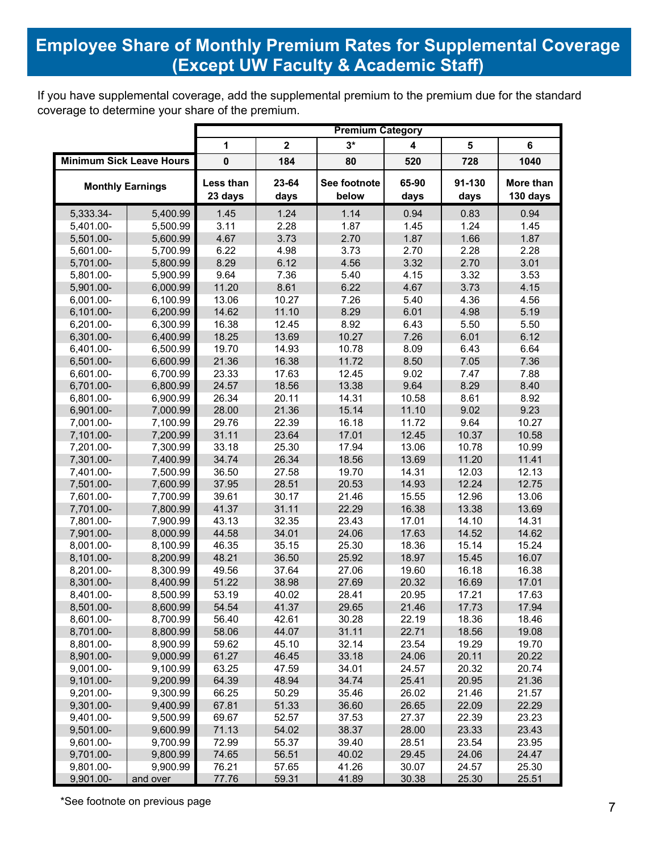## **Employee Share of Monthly Premium Rates for Supplemental Coverage Except UW Faculty & Academic Staff)** (Except UW Faculty & Academic Staff)

If you have supplemental coverage, add the supplemental premium to the premium due for the standard coverage to determine your share of the premium.

|                                 |                      |                      |                         | <b>Premium Category</b> |                         |                |                       |
|---------------------------------|----------------------|----------------------|-------------------------|-------------------------|-------------------------|----------------|-----------------------|
|                                 |                      | 1                    | $\overline{\mathbf{2}}$ | $3*$                    | $\overline{\mathbf{4}}$ | 5              | 6                     |
| <b>Minimum Sick Leave Hours</b> |                      | $\mathbf 0$          | 184                     | 80                      | 520                     | 728            | 1040                  |
| <b>Monthly Earnings</b>         |                      | Less than<br>23 days | 23-64<br>days           | See footnote<br>below   | 65-90<br>days           | 91-130<br>days | More than<br>130 days |
| 5,333.34-                       | 5,400.99             | 1.45                 | 1.24                    | 1.14                    | 0.94                    | 0.83           | 0.94                  |
| 5,401.00-                       | 5,500.99             | 3.11                 | 2.28                    | 1.87                    | 1.45                    | 1.24           | 1.45                  |
| 5,501.00-                       | 5,600.99             | 4.67                 | 3.73                    | 2.70                    | 1.87                    | 1.66           | 1.87                  |
| 5,601.00-                       | 5,700.99             | 6.22                 | 4.98                    | 3.73                    | 2.70                    | 2.28           | 2.28                  |
| 5,701.00-                       | 5,800.99             | 8.29                 | 6.12                    | 4.56                    | 3.32                    | 2.70           | 3.01                  |
| 5,801.00-                       | 5,900.99             | 9.64                 | 7.36                    | 5.40                    | 4.15                    | 3.32           | 3.53                  |
| 5,901.00-                       | 6,000.99             | 11.20                | 8.61                    | 6.22                    | 4.67                    | 3.73           | 4.15                  |
| 6,001.00-                       | 6,100.99             | 13.06                | 10.27                   | 7.26                    | 5.40                    | 4.36           | 4.56                  |
| 6,101.00-                       | 6,200.99             | 14.62                | 11.10                   | 8.29                    | 6.01                    | 4.98           | 5.19                  |
| 6,201.00-                       | 6,300.99             | 16.38                | 12.45                   | 8.92                    | 6.43                    | 5.50           | 5.50                  |
| 6,301.00-                       | 6,400.99             | 18.25                | 13.69                   | 10.27                   | 7.26                    | 6.01           | 6.12                  |
| 6,401.00-                       | 6,500.99             | 19.70                | 14.93                   | 10.78                   | 8.09                    | 6.43           | 6.64                  |
| 6,501.00-                       | 6,600.99             | 21.36                | 16.38                   | 11.72                   | 8.50                    | 7.05           | 7.36                  |
| 6,601.00-                       | 6,700.99             | 23.33                | 17.63                   | 12.45                   | 9.02                    | 7.47           | 7.88                  |
| 6,701.00-                       | 6,800.99             | 24.57                | 18.56                   | 13.38                   | 9.64                    | 8.29           | 8.40                  |
| 6,801.00-<br>6,901.00-          | 6,900.99             | 26.34<br>28.00       | 20.11<br>21.36          | 14.31<br>15.14          | 10.58<br>11.10          | 8.61<br>9.02   | 8.92<br>9.23          |
| 7,001.00-                       | 7,000.99<br>7,100.99 | 29.76                | 22.39                   | 16.18                   | 11.72                   | 9.64           | 10.27                 |
| 7,101.00-                       | 7,200.99             | 31.11                | 23.64                   | 17.01                   | 12.45                   | 10.37          | 10.58                 |
| 7,201.00-                       | 7,300.99             | 33.18                | 25.30                   | 17.94                   | 13.06                   | 10.78          | 10.99                 |
| 7,301.00-                       | 7,400.99             | 34.74                | 26.34                   | 18.56                   | 13.69                   | 11.20          | 11.41                 |
| 7,401.00-                       | 7,500.99             | 36.50                | 27.58                   | 19.70                   | 14.31                   | 12.03          | 12.13                 |
| 7,501.00-                       | 7,600.99             | 37.95                | 28.51                   | 20.53                   | 14.93                   | 12.24          | 12.75                 |
| 7,601.00-                       | 7,700.99             | 39.61                | 30.17                   | 21.46                   | 15.55                   | 12.96          | 13.06                 |
| 7,701.00-                       | 7,800.99             | 41.37                | 31.11                   | 22.29                   | 16.38                   | 13.38          | 13.69                 |
| 7,801.00-                       | 7,900.99             | 43.13                | 32.35                   | 23.43                   | 17.01                   | 14.10          | 14.31                 |
| 7,901.00-                       | 8,000.99             | 44.58                | 34.01                   | 24.06                   | 17.63                   | 14.52          | 14.62                 |
| 8,001.00-                       | 8,100.99             | 46.35                | 35.15                   | 25.30                   | 18.36                   | 15.14          | 15.24                 |
| 8,101.00-                       | 8,200.99             | 48.21                | 36.50                   | 25.92                   | 18.97                   | 15.45          | 16.07                 |
| 8,201.00-                       | 8,300.99             | 49.56                | 37.64                   | 27.06                   | 19.60                   | 16.18          | 16.38                 |
| 8,301.00-                       | 8,400.99             | 51.22                | 38.98                   | 27.69                   | 20.32                   | 16.69          | 17.01                 |
| 8,401.00-                       | 8,500.99             | 53.19                | 40.02                   | 28.41                   | 20.95                   | 17.21          | 17.63                 |
| 8,501.00-                       | 8,600.99             | 54.54                | 41.37                   | 29.65                   | 21.46                   | 17.73          | 17.94                 |
| 8,601.00-                       | 8,700.99             | 56.40                | 42.61                   | 30.28                   | 22.19                   | 18.36          | 18.46                 |
| 8,701.00-                       | 8,800.99             | 58.06                | 44.07                   | 31.11                   | 22.71                   | 18.56          | 19.08                 |
| 8,801.00-                       | 8,900.99             | 59.62                | 45.10                   | 32.14                   | 23.54                   | 19.29          | 19.70                 |
| 8,901.00-                       | 9,000.99             | 61.27                | 46.45                   | 33.18                   | 24.06                   | 20.11          | 20.22                 |
| 9,001.00-                       | 9,100.99             | 63.25                | 47.59                   | 34.01                   | 24.57                   | 20.32          | 20.74                 |
| 9,101.00-                       | 9,200.99             | 64.39                | 48.94                   | 34.74                   | 25.41                   | 20.95          | 21.36                 |
| 9,201.00-                       | 9,300.99             | 66.25                | 50.29                   | 35.46                   | 26.02                   | 21.46          | 21.57                 |
| 9,301.00-                       | 9,400.99             | 67.81                | 51.33                   | 36.60                   | 26.65                   | 22.09          | 22.29                 |
| 9,401.00-                       | 9,500.99             | 69.67                | 52.57                   | 37.53                   | 27.37                   | 22.39          | 23.23                 |
| 9,501.00-                       | 9,600.99             | 71.13                | 54.02                   | 38.37                   | 28.00                   | 23.33          | 23.43                 |
| 9,601.00-                       | 9,700.99             | 72.99                | 55.37                   | 39.40                   | 28.51                   | 23.54          | 23.95                 |
| 9,701.00-                       | 9,800.99             | 74.65                | 56.51                   | 40.02                   | 29.45                   | 24.06          | 24.47                 |
| 9,801.00-                       | 9,900.99             | 76.21                | 57.65                   | 41.26                   | 30.07                   | 24.57          | 25.30                 |
| 9,901.00-                       | and over             | 77.76                | 59.31                   | 41.89                   | 30.38                   | 25.30          | 25.51                 |

\*See footnote on previous page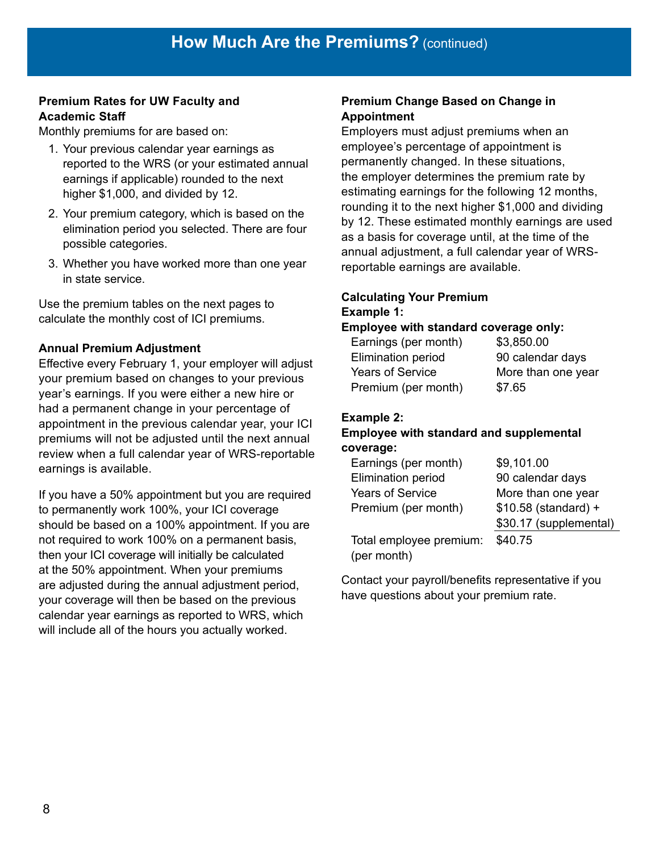#### **Premium Rates for UW Faculty and Academic Staff**

Monthly premiums for are based on:

- 1. Your previous calendar year earnings as reported to the WRS (or your estimated annual earnings if applicable) rounded to the next higher \$1,000, and divided by 12.
- 2. Your premium category, which is based on the elimination period you selected. There are four possible categories.
- 3. Whether you have worked more than one year in state service.

Use the premium tables on the next pages to calculate the monthly cost of ICI premiums.

#### **Annual Premium Adjustment**

Effective every February 1, your employer will adjust your premium based on changes to your previous year's earnings. If you were either a new hire or had a permanent change in your percentage of appointment in the previous calendar year, your ICI premiums will not be adjusted until the next annual review when a full calendar year of WRS-reportable earnings is available.

If you have a 50% appointment but you are required to permanently work 100%, your ICI coverage should be based on a 100% appointment. If you are not required to work 100% on a permanent basis, then your ICI coverage will initially be calculated at the 50% appointment. When your premiums are adjusted during the annual adjustment period, your coverage will then be based on the previous calendar year earnings as reported to WRS, which will include all of the hours you actually worked.

#### **Premium Change Based on Change in Appointment**

Employers must adjust premiums when an employee's percentage of appointment is permanently changed. In these situations, the employer determines the premium rate by estimating earnings for the following 12 months, rounding it to the next higher \$1,000 and dividing by 12. These estimated monthly earnings are used as a basis for coverage until, at the time of the annual adjustment, a full calendar year of WRSreportable earnings are available.

#### **Calculating Your Premium Example 1:**

#### **Employee with standard coverage only:**

| Earnings (per month)      | \$3,850.00         |
|---------------------------|--------------------|
| <b>Elimination period</b> | 90 calendar days   |
| <b>Years of Service</b>   | More than one year |
| Premium (per month)       | \$7.65             |

#### **Example 2:**

#### **Employee with standard and supplemental coverage:**

| Earnings (per month)      | \$9,101.00             |
|---------------------------|------------------------|
| <b>Elimination period</b> | 90 calendar days       |
| <b>Years of Service</b>   | More than one year     |
| Premium (per month)       | \$10.58 (standard) +   |
|                           | \$30.17 (supplemental) |
| Total employee premium:   | \$40.75                |

(per month)

Contact your payroll/benefits representative if you have questions about your premium rate.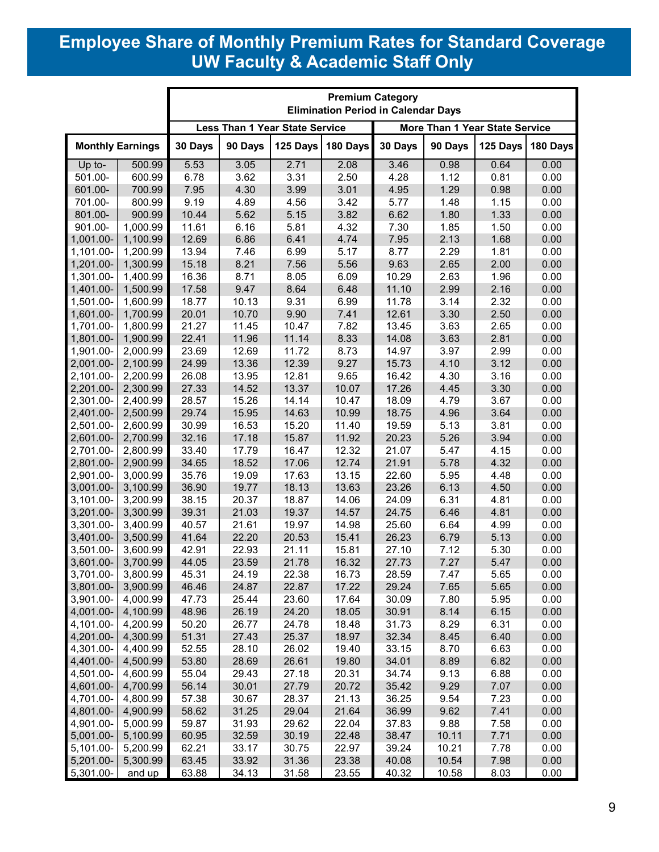## **Employee Share of Monthly Premium Rates for Standard Coverage UW Faculty & Academic Staff Only**

| <b>Less Than 1 Year State Service</b><br>More Than 1 Year State Service<br><b>Monthly Earnings</b><br>30 Days<br>90 Days<br>125 Days<br>180 Days<br>30 Days<br>90 Days<br>125 Days<br>5.53<br>500.99<br>3.05<br>2.71<br>2.08<br>3.46<br>0.98<br>0.64<br>0.00<br>Up to-<br>3.62<br>501.00-<br>600.99<br>6.78<br>3.31<br>2.50<br>4.28<br>1.12<br>0.81<br>0.00<br>700.99<br>7.95<br>4.30<br>3.99<br>3.01<br>4.95<br>1.29<br>0.98<br>0.00<br>601.00-<br>9.19<br>701.00-<br>800.99<br>4.89<br>4.56<br>3.42<br>1.48<br>1.15<br>0.00<br>5.77<br>801.00-<br>900.99<br>10.44<br>3.82<br>1.80<br>1.33<br>0.00<br>5.62<br>5.15<br>6.62<br>4.32<br>901.00-<br>1,000.99<br>11.61<br>6.16<br>5.81<br>7.30<br>1.85<br>1.50<br>0.00<br>1,100.99<br>12.69<br>4.74<br>0.00<br>1,001.00-<br>6.86<br>6.41<br>7.95<br>2.13<br>1.68<br>13.94<br>2.29<br>1,101.00-<br>1,200.99<br>7.46<br>6.99<br>5.17<br>8.77<br>1.81<br>0.00<br>15.18<br>8.21<br>7.56<br>5.56<br>2.65<br>1,201.00-<br>1,300.99<br>9.63<br>2.00<br>0.00<br>16.36<br>1,301.00-<br>1,400.99<br>8.71<br>8.05<br>6.09<br>10.29<br>2.63<br>1.96<br>0.00<br>17.58<br>9.47<br>8.64<br>6.48<br>11.10<br>2.99<br>2.16<br>0.00<br>1,401.00-<br>1,500.99<br>9.31<br>6.99<br>2.32<br>1,501.00-<br>1,600.99<br>18.77<br>10.13<br>11.78<br>3.14<br>0.00<br>1,700.99<br>20.01<br>10.70<br>9.90<br>7.41<br>12.61<br>3.30<br>2.50<br>1,601.00-<br>0.00<br>1,800.99<br>21.27<br>7.82<br>13.45<br>3.63<br>2.65<br>1,701.00-<br>11.45<br>10.47<br>0.00<br>1,900.99<br>22.41<br>11.96<br>11.14<br>8.33<br>14.08<br>3.63<br>2.81<br>0.00<br>1,801.00-<br>8.73<br>2.99<br>1,901.00-<br>2,000.99<br>23.69<br>12.69<br>11.72<br>14.97<br>3.97<br>0.00<br>9.27<br>2,001.00-<br>2,100.99<br>24.99<br>13.36<br>12.39<br>15.73<br>4.10<br>3.12<br>0.00<br>2,200.99<br>9.65<br>3.16<br>0.00<br>2,101.00-<br>26.08<br>13.95<br>12.81<br>16.42<br>4.30<br>2,300.99<br>13.37<br>10.07<br>3.30<br>0.00<br>2,201.00-<br>27.33<br>14.52<br>17.26<br>4.45<br>2,301.00-<br>2,400.99<br>28.57<br>15.26<br>14.14<br>10.47<br>18.09<br>4.79<br>3.67<br>0.00<br>29.74<br>2,401.00-<br>2,500.99<br>15.95<br>14.63<br>10.99<br>18.75<br>4.96<br>3.64<br>0.00<br>30.99<br>15.20<br>2,501.00-<br>2,600.99<br>16.53<br>11.40<br>19.59<br>5.13<br>3.81<br>0.00<br>2,700.99<br>32.16<br>15.87<br>20.23<br>5.26<br>3.94<br>0.00<br>2,601.00-<br>17.18<br>11.92<br>33.40<br>4.15<br>2,701.00-<br>2,800.99<br>17.79<br>16.47<br>12.32<br>21.07<br>5.47<br>0.00<br>17.06<br>5.78<br>4.32<br>2,801.00-<br>2,900.99<br>34.65<br>18.52<br>12.74<br>21.91<br>0.00<br>3,000.99<br>35.76<br>19.09<br>17.63<br>13.15<br>22.60<br>5.95<br>4.48<br>0.00<br>2,901.00-<br>36.90<br>19.77<br>18.13<br>13.63<br>23.26<br>6.13<br>3,001.00-<br>3,100.99<br>4.50<br>0.00<br>3,200.99<br>3,101.00-<br>38.15<br>20.37<br>18.87<br>14.06<br>24.09<br>6.31<br>4.81<br>0.00<br>39.31<br>21.03<br>19.37<br>14.57<br>6.46<br>4.81<br>0.00<br>3,201.00-<br>3,300.99<br>24.75<br>3,301.00-<br>3,400.99<br>40.57<br>21.61<br>19.97<br>14.98<br>25.60<br>6.64<br>4.99<br>0.00<br>20.53<br>15.41<br>5.13<br>0.00<br>3,401.00-<br>3,500.99<br>41.64<br>22.20<br>26.23<br>6.79<br>3,501.00-<br>3,600.99<br>42.91<br>22.93<br>21.11<br>15.81<br>27.10<br>7.12<br>5.30<br>0.00<br>3,601.00-<br>3,700.99<br>44.05<br>23.59<br>21.78<br>16.32<br>27.73<br>7.27<br>5.47<br>0.00<br>3,701.00-<br>3,800.99<br>45.31<br>24.19<br>22.38<br>16.73<br>28.59<br>7.47<br>5.65<br>0.00<br>3,801.00-<br>3,900.99<br>46.46<br>24.87<br>22.87<br>17.22<br>29.24<br>7.65<br>5.65<br>0.00<br>3,901.00-<br>4,000.99<br>47.73<br>23.60<br>30.09<br>7.80<br>5.95<br>25.44<br>17.64<br>0.00<br>4,001.00-<br>4,100.99<br>48.96<br>26.19<br>24.20<br>18.05<br>30.91<br>8.14<br>6.15<br>0.00<br>4,101.00-<br>8.29<br>6.31<br>4,200.99<br>50.20<br>26.77<br>24.78<br>18.48<br>31.73<br>0.00<br>4,201.00-<br>4,300.99<br>51.31<br>27.43<br>25.37<br>18.97<br>32.34<br>8.45<br>6.40<br>0.00<br>4,301.00-<br>4,400.99<br>52.55<br>28.10<br>26.02<br>33.15<br>8.70<br>6.63<br>0.00<br>19.40<br>4,500.99<br>53.80<br>28.69<br>26.61<br>19.80<br>34.01<br>8.89<br>6.82<br>0.00<br>4,401.00-<br>4,501.00-<br>4,600.99<br>55.04<br>29.43<br>27.18<br>20.31<br>34.74<br>9.13<br>6.88<br>0.00<br>7.07<br>4,601.00-<br>4,700.99<br>56.14<br>30.01<br>27.79<br>20.72<br>35.42<br>9.29<br>0.00<br>4,701.00-<br>4,800.99<br>0.00<br>57.38<br>30.67<br>28.37<br>21.13<br>36.25<br>9.54<br>7.23<br>4,801.00-<br>4,900.99<br>58.62<br>31.25<br>29.04<br>21.64<br>36.99<br>9.62<br>7.41<br>0.00<br>29.62<br>0.00<br>4,901.00-<br>5,000.99<br>59.87<br>31.93<br>22.04<br>37.83<br>9.88<br>7.58<br>5,001.00-<br>30.19<br>7.71<br>0.00<br>5,100.99<br>60.95<br>32.59<br>22.48<br>38.47<br>10.11<br>5,101.00-<br>5,200.99<br>62.21<br>33.17<br>30.75<br>22.97<br>39.24<br>10.21<br>7.78<br>0.00<br>63.45<br>31.36<br>7.98<br>0.00<br>5,201.00-<br>33.92<br>23.38<br>40.08<br>10.54<br>5,300.99 |  | <b>Premium Category</b><br><b>Elimination Period in Calendar Days</b> |  |  |  |  |  |  |          |
|-------------------------------------------------------------------------------------------------------------------------------------------------------------------------------------------------------------------------------------------------------------------------------------------------------------------------------------------------------------------------------------------------------------------------------------------------------------------------------------------------------------------------------------------------------------------------------------------------------------------------------------------------------------------------------------------------------------------------------------------------------------------------------------------------------------------------------------------------------------------------------------------------------------------------------------------------------------------------------------------------------------------------------------------------------------------------------------------------------------------------------------------------------------------------------------------------------------------------------------------------------------------------------------------------------------------------------------------------------------------------------------------------------------------------------------------------------------------------------------------------------------------------------------------------------------------------------------------------------------------------------------------------------------------------------------------------------------------------------------------------------------------------------------------------------------------------------------------------------------------------------------------------------------------------------------------------------------------------------------------------------------------------------------------------------------------------------------------------------------------------------------------------------------------------------------------------------------------------------------------------------------------------------------------------------------------------------------------------------------------------------------------------------------------------------------------------------------------------------------------------------------------------------------------------------------------------------------------------------------------------------------------------------------------------------------------------------------------------------------------------------------------------------------------------------------------------------------------------------------------------------------------------------------------------------------------------------------------------------------------------------------------------------------------------------------------------------------------------------------------------------------------------------------------------------------------------------------------------------------------------------------------------------------------------------------------------------------------------------------------------------------------------------------------------------------------------------------------------------------------------------------------------------------------------------------------------------------------------------------------------------------------------------------------------------------------------------------------------------------------------------------------------------------------------------------------------------------------------------------------------------------------------------------------------------------------------------------------------------------------------------------------------------------------------------------------------------------------------------------------------------------------------------------------------------------------------------------------------------------------------------------------------------------------------------------------------------------------------------------------------------------------------------------------------------------------------------------------------------------------------------------------------------------------------------------------------------------------------------------------------------------------------------------------------------------------------------------------------------------------------------------------------------------------------------------------------------------------------------------------------------------------------------|--|-----------------------------------------------------------------------|--|--|--|--|--|--|----------|
|                                                                                                                                                                                                                                                                                                                                                                                                                                                                                                                                                                                                                                                                                                                                                                                                                                                                                                                                                                                                                                                                                                                                                                                                                                                                                                                                                                                                                                                                                                                                                                                                                                                                                                                                                                                                                                                                                                                                                                                                                                                                                                                                                                                                                                                                                                                                                                                                                                                                                                                                                                                                                                                                                                                                                                                                                                                                                                                                                                                                                                                                                                                                                                                                                                                                                                                                                                                                                                                                                                                                                                                                                                                                                                                                                                                                                                                                                                                                                                                                                                                                                                                                                                                                                                                                                                                                                                                                                                                                                                                                                                                                                                                                                                                                                                                                                                                                                                       |  |                                                                       |  |  |  |  |  |  |          |
|                                                                                                                                                                                                                                                                                                                                                                                                                                                                                                                                                                                                                                                                                                                                                                                                                                                                                                                                                                                                                                                                                                                                                                                                                                                                                                                                                                                                                                                                                                                                                                                                                                                                                                                                                                                                                                                                                                                                                                                                                                                                                                                                                                                                                                                                                                                                                                                                                                                                                                                                                                                                                                                                                                                                                                                                                                                                                                                                                                                                                                                                                                                                                                                                                                                                                                                                                                                                                                                                                                                                                                                                                                                                                                                                                                                                                                                                                                                                                                                                                                                                                                                                                                                                                                                                                                                                                                                                                                                                                                                                                                                                                                                                                                                                                                                                                                                                                                       |  |                                                                       |  |  |  |  |  |  | 180 Days |
|                                                                                                                                                                                                                                                                                                                                                                                                                                                                                                                                                                                                                                                                                                                                                                                                                                                                                                                                                                                                                                                                                                                                                                                                                                                                                                                                                                                                                                                                                                                                                                                                                                                                                                                                                                                                                                                                                                                                                                                                                                                                                                                                                                                                                                                                                                                                                                                                                                                                                                                                                                                                                                                                                                                                                                                                                                                                                                                                                                                                                                                                                                                                                                                                                                                                                                                                                                                                                                                                                                                                                                                                                                                                                                                                                                                                                                                                                                                                                                                                                                                                                                                                                                                                                                                                                                                                                                                                                                                                                                                                                                                                                                                                                                                                                                                                                                                                                                       |  |                                                                       |  |  |  |  |  |  |          |
|                                                                                                                                                                                                                                                                                                                                                                                                                                                                                                                                                                                                                                                                                                                                                                                                                                                                                                                                                                                                                                                                                                                                                                                                                                                                                                                                                                                                                                                                                                                                                                                                                                                                                                                                                                                                                                                                                                                                                                                                                                                                                                                                                                                                                                                                                                                                                                                                                                                                                                                                                                                                                                                                                                                                                                                                                                                                                                                                                                                                                                                                                                                                                                                                                                                                                                                                                                                                                                                                                                                                                                                                                                                                                                                                                                                                                                                                                                                                                                                                                                                                                                                                                                                                                                                                                                                                                                                                                                                                                                                                                                                                                                                                                                                                                                                                                                                                                                       |  |                                                                       |  |  |  |  |  |  |          |
|                                                                                                                                                                                                                                                                                                                                                                                                                                                                                                                                                                                                                                                                                                                                                                                                                                                                                                                                                                                                                                                                                                                                                                                                                                                                                                                                                                                                                                                                                                                                                                                                                                                                                                                                                                                                                                                                                                                                                                                                                                                                                                                                                                                                                                                                                                                                                                                                                                                                                                                                                                                                                                                                                                                                                                                                                                                                                                                                                                                                                                                                                                                                                                                                                                                                                                                                                                                                                                                                                                                                                                                                                                                                                                                                                                                                                                                                                                                                                                                                                                                                                                                                                                                                                                                                                                                                                                                                                                                                                                                                                                                                                                                                                                                                                                                                                                                                                                       |  |                                                                       |  |  |  |  |  |  |          |
|                                                                                                                                                                                                                                                                                                                                                                                                                                                                                                                                                                                                                                                                                                                                                                                                                                                                                                                                                                                                                                                                                                                                                                                                                                                                                                                                                                                                                                                                                                                                                                                                                                                                                                                                                                                                                                                                                                                                                                                                                                                                                                                                                                                                                                                                                                                                                                                                                                                                                                                                                                                                                                                                                                                                                                                                                                                                                                                                                                                                                                                                                                                                                                                                                                                                                                                                                                                                                                                                                                                                                                                                                                                                                                                                                                                                                                                                                                                                                                                                                                                                                                                                                                                                                                                                                                                                                                                                                                                                                                                                                                                                                                                                                                                                                                                                                                                                                                       |  |                                                                       |  |  |  |  |  |  |          |
|                                                                                                                                                                                                                                                                                                                                                                                                                                                                                                                                                                                                                                                                                                                                                                                                                                                                                                                                                                                                                                                                                                                                                                                                                                                                                                                                                                                                                                                                                                                                                                                                                                                                                                                                                                                                                                                                                                                                                                                                                                                                                                                                                                                                                                                                                                                                                                                                                                                                                                                                                                                                                                                                                                                                                                                                                                                                                                                                                                                                                                                                                                                                                                                                                                                                                                                                                                                                                                                                                                                                                                                                                                                                                                                                                                                                                                                                                                                                                                                                                                                                                                                                                                                                                                                                                                                                                                                                                                                                                                                                                                                                                                                                                                                                                                                                                                                                                                       |  |                                                                       |  |  |  |  |  |  |          |
|                                                                                                                                                                                                                                                                                                                                                                                                                                                                                                                                                                                                                                                                                                                                                                                                                                                                                                                                                                                                                                                                                                                                                                                                                                                                                                                                                                                                                                                                                                                                                                                                                                                                                                                                                                                                                                                                                                                                                                                                                                                                                                                                                                                                                                                                                                                                                                                                                                                                                                                                                                                                                                                                                                                                                                                                                                                                                                                                                                                                                                                                                                                                                                                                                                                                                                                                                                                                                                                                                                                                                                                                                                                                                                                                                                                                                                                                                                                                                                                                                                                                                                                                                                                                                                                                                                                                                                                                                                                                                                                                                                                                                                                                                                                                                                                                                                                                                                       |  |                                                                       |  |  |  |  |  |  |          |
|                                                                                                                                                                                                                                                                                                                                                                                                                                                                                                                                                                                                                                                                                                                                                                                                                                                                                                                                                                                                                                                                                                                                                                                                                                                                                                                                                                                                                                                                                                                                                                                                                                                                                                                                                                                                                                                                                                                                                                                                                                                                                                                                                                                                                                                                                                                                                                                                                                                                                                                                                                                                                                                                                                                                                                                                                                                                                                                                                                                                                                                                                                                                                                                                                                                                                                                                                                                                                                                                                                                                                                                                                                                                                                                                                                                                                                                                                                                                                                                                                                                                                                                                                                                                                                                                                                                                                                                                                                                                                                                                                                                                                                                                                                                                                                                                                                                                                                       |  |                                                                       |  |  |  |  |  |  |          |
|                                                                                                                                                                                                                                                                                                                                                                                                                                                                                                                                                                                                                                                                                                                                                                                                                                                                                                                                                                                                                                                                                                                                                                                                                                                                                                                                                                                                                                                                                                                                                                                                                                                                                                                                                                                                                                                                                                                                                                                                                                                                                                                                                                                                                                                                                                                                                                                                                                                                                                                                                                                                                                                                                                                                                                                                                                                                                                                                                                                                                                                                                                                                                                                                                                                                                                                                                                                                                                                                                                                                                                                                                                                                                                                                                                                                                                                                                                                                                                                                                                                                                                                                                                                                                                                                                                                                                                                                                                                                                                                                                                                                                                                                                                                                                                                                                                                                                                       |  |                                                                       |  |  |  |  |  |  |          |
|                                                                                                                                                                                                                                                                                                                                                                                                                                                                                                                                                                                                                                                                                                                                                                                                                                                                                                                                                                                                                                                                                                                                                                                                                                                                                                                                                                                                                                                                                                                                                                                                                                                                                                                                                                                                                                                                                                                                                                                                                                                                                                                                                                                                                                                                                                                                                                                                                                                                                                                                                                                                                                                                                                                                                                                                                                                                                                                                                                                                                                                                                                                                                                                                                                                                                                                                                                                                                                                                                                                                                                                                                                                                                                                                                                                                                                                                                                                                                                                                                                                                                                                                                                                                                                                                                                                                                                                                                                                                                                                                                                                                                                                                                                                                                                                                                                                                                                       |  |                                                                       |  |  |  |  |  |  |          |
|                                                                                                                                                                                                                                                                                                                                                                                                                                                                                                                                                                                                                                                                                                                                                                                                                                                                                                                                                                                                                                                                                                                                                                                                                                                                                                                                                                                                                                                                                                                                                                                                                                                                                                                                                                                                                                                                                                                                                                                                                                                                                                                                                                                                                                                                                                                                                                                                                                                                                                                                                                                                                                                                                                                                                                                                                                                                                                                                                                                                                                                                                                                                                                                                                                                                                                                                                                                                                                                                                                                                                                                                                                                                                                                                                                                                                                                                                                                                                                                                                                                                                                                                                                                                                                                                                                                                                                                                                                                                                                                                                                                                                                                                                                                                                                                                                                                                                                       |  |                                                                       |  |  |  |  |  |  |          |
|                                                                                                                                                                                                                                                                                                                                                                                                                                                                                                                                                                                                                                                                                                                                                                                                                                                                                                                                                                                                                                                                                                                                                                                                                                                                                                                                                                                                                                                                                                                                                                                                                                                                                                                                                                                                                                                                                                                                                                                                                                                                                                                                                                                                                                                                                                                                                                                                                                                                                                                                                                                                                                                                                                                                                                                                                                                                                                                                                                                                                                                                                                                                                                                                                                                                                                                                                                                                                                                                                                                                                                                                                                                                                                                                                                                                                                                                                                                                                                                                                                                                                                                                                                                                                                                                                                                                                                                                                                                                                                                                                                                                                                                                                                                                                                                                                                                                                                       |  |                                                                       |  |  |  |  |  |  |          |
|                                                                                                                                                                                                                                                                                                                                                                                                                                                                                                                                                                                                                                                                                                                                                                                                                                                                                                                                                                                                                                                                                                                                                                                                                                                                                                                                                                                                                                                                                                                                                                                                                                                                                                                                                                                                                                                                                                                                                                                                                                                                                                                                                                                                                                                                                                                                                                                                                                                                                                                                                                                                                                                                                                                                                                                                                                                                                                                                                                                                                                                                                                                                                                                                                                                                                                                                                                                                                                                                                                                                                                                                                                                                                                                                                                                                                                                                                                                                                                                                                                                                                                                                                                                                                                                                                                                                                                                                                                                                                                                                                                                                                                                                                                                                                                                                                                                                                                       |  |                                                                       |  |  |  |  |  |  |          |
|                                                                                                                                                                                                                                                                                                                                                                                                                                                                                                                                                                                                                                                                                                                                                                                                                                                                                                                                                                                                                                                                                                                                                                                                                                                                                                                                                                                                                                                                                                                                                                                                                                                                                                                                                                                                                                                                                                                                                                                                                                                                                                                                                                                                                                                                                                                                                                                                                                                                                                                                                                                                                                                                                                                                                                                                                                                                                                                                                                                                                                                                                                                                                                                                                                                                                                                                                                                                                                                                                                                                                                                                                                                                                                                                                                                                                                                                                                                                                                                                                                                                                                                                                                                                                                                                                                                                                                                                                                                                                                                                                                                                                                                                                                                                                                                                                                                                                                       |  |                                                                       |  |  |  |  |  |  |          |
|                                                                                                                                                                                                                                                                                                                                                                                                                                                                                                                                                                                                                                                                                                                                                                                                                                                                                                                                                                                                                                                                                                                                                                                                                                                                                                                                                                                                                                                                                                                                                                                                                                                                                                                                                                                                                                                                                                                                                                                                                                                                                                                                                                                                                                                                                                                                                                                                                                                                                                                                                                                                                                                                                                                                                                                                                                                                                                                                                                                                                                                                                                                                                                                                                                                                                                                                                                                                                                                                                                                                                                                                                                                                                                                                                                                                                                                                                                                                                                                                                                                                                                                                                                                                                                                                                                                                                                                                                                                                                                                                                                                                                                                                                                                                                                                                                                                                                                       |  |                                                                       |  |  |  |  |  |  |          |
|                                                                                                                                                                                                                                                                                                                                                                                                                                                                                                                                                                                                                                                                                                                                                                                                                                                                                                                                                                                                                                                                                                                                                                                                                                                                                                                                                                                                                                                                                                                                                                                                                                                                                                                                                                                                                                                                                                                                                                                                                                                                                                                                                                                                                                                                                                                                                                                                                                                                                                                                                                                                                                                                                                                                                                                                                                                                                                                                                                                                                                                                                                                                                                                                                                                                                                                                                                                                                                                                                                                                                                                                                                                                                                                                                                                                                                                                                                                                                                                                                                                                                                                                                                                                                                                                                                                                                                                                                                                                                                                                                                                                                                                                                                                                                                                                                                                                                                       |  |                                                                       |  |  |  |  |  |  |          |
|                                                                                                                                                                                                                                                                                                                                                                                                                                                                                                                                                                                                                                                                                                                                                                                                                                                                                                                                                                                                                                                                                                                                                                                                                                                                                                                                                                                                                                                                                                                                                                                                                                                                                                                                                                                                                                                                                                                                                                                                                                                                                                                                                                                                                                                                                                                                                                                                                                                                                                                                                                                                                                                                                                                                                                                                                                                                                                                                                                                                                                                                                                                                                                                                                                                                                                                                                                                                                                                                                                                                                                                                                                                                                                                                                                                                                                                                                                                                                                                                                                                                                                                                                                                                                                                                                                                                                                                                                                                                                                                                                                                                                                                                                                                                                                                                                                                                                                       |  |                                                                       |  |  |  |  |  |  |          |
|                                                                                                                                                                                                                                                                                                                                                                                                                                                                                                                                                                                                                                                                                                                                                                                                                                                                                                                                                                                                                                                                                                                                                                                                                                                                                                                                                                                                                                                                                                                                                                                                                                                                                                                                                                                                                                                                                                                                                                                                                                                                                                                                                                                                                                                                                                                                                                                                                                                                                                                                                                                                                                                                                                                                                                                                                                                                                                                                                                                                                                                                                                                                                                                                                                                                                                                                                                                                                                                                                                                                                                                                                                                                                                                                                                                                                                                                                                                                                                                                                                                                                                                                                                                                                                                                                                                                                                                                                                                                                                                                                                                                                                                                                                                                                                                                                                                                                                       |  |                                                                       |  |  |  |  |  |  |          |
|                                                                                                                                                                                                                                                                                                                                                                                                                                                                                                                                                                                                                                                                                                                                                                                                                                                                                                                                                                                                                                                                                                                                                                                                                                                                                                                                                                                                                                                                                                                                                                                                                                                                                                                                                                                                                                                                                                                                                                                                                                                                                                                                                                                                                                                                                                                                                                                                                                                                                                                                                                                                                                                                                                                                                                                                                                                                                                                                                                                                                                                                                                                                                                                                                                                                                                                                                                                                                                                                                                                                                                                                                                                                                                                                                                                                                                                                                                                                                                                                                                                                                                                                                                                                                                                                                                                                                                                                                                                                                                                                                                                                                                                                                                                                                                                                                                                                                                       |  |                                                                       |  |  |  |  |  |  |          |
|                                                                                                                                                                                                                                                                                                                                                                                                                                                                                                                                                                                                                                                                                                                                                                                                                                                                                                                                                                                                                                                                                                                                                                                                                                                                                                                                                                                                                                                                                                                                                                                                                                                                                                                                                                                                                                                                                                                                                                                                                                                                                                                                                                                                                                                                                                                                                                                                                                                                                                                                                                                                                                                                                                                                                                                                                                                                                                                                                                                                                                                                                                                                                                                                                                                                                                                                                                                                                                                                                                                                                                                                                                                                                                                                                                                                                                                                                                                                                                                                                                                                                                                                                                                                                                                                                                                                                                                                                                                                                                                                                                                                                                                                                                                                                                                                                                                                                                       |  |                                                                       |  |  |  |  |  |  |          |
|                                                                                                                                                                                                                                                                                                                                                                                                                                                                                                                                                                                                                                                                                                                                                                                                                                                                                                                                                                                                                                                                                                                                                                                                                                                                                                                                                                                                                                                                                                                                                                                                                                                                                                                                                                                                                                                                                                                                                                                                                                                                                                                                                                                                                                                                                                                                                                                                                                                                                                                                                                                                                                                                                                                                                                                                                                                                                                                                                                                                                                                                                                                                                                                                                                                                                                                                                                                                                                                                                                                                                                                                                                                                                                                                                                                                                                                                                                                                                                                                                                                                                                                                                                                                                                                                                                                                                                                                                                                                                                                                                                                                                                                                                                                                                                                                                                                                                                       |  |                                                                       |  |  |  |  |  |  |          |
|                                                                                                                                                                                                                                                                                                                                                                                                                                                                                                                                                                                                                                                                                                                                                                                                                                                                                                                                                                                                                                                                                                                                                                                                                                                                                                                                                                                                                                                                                                                                                                                                                                                                                                                                                                                                                                                                                                                                                                                                                                                                                                                                                                                                                                                                                                                                                                                                                                                                                                                                                                                                                                                                                                                                                                                                                                                                                                                                                                                                                                                                                                                                                                                                                                                                                                                                                                                                                                                                                                                                                                                                                                                                                                                                                                                                                                                                                                                                                                                                                                                                                                                                                                                                                                                                                                                                                                                                                                                                                                                                                                                                                                                                                                                                                                                                                                                                                                       |  |                                                                       |  |  |  |  |  |  |          |
|                                                                                                                                                                                                                                                                                                                                                                                                                                                                                                                                                                                                                                                                                                                                                                                                                                                                                                                                                                                                                                                                                                                                                                                                                                                                                                                                                                                                                                                                                                                                                                                                                                                                                                                                                                                                                                                                                                                                                                                                                                                                                                                                                                                                                                                                                                                                                                                                                                                                                                                                                                                                                                                                                                                                                                                                                                                                                                                                                                                                                                                                                                                                                                                                                                                                                                                                                                                                                                                                                                                                                                                                                                                                                                                                                                                                                                                                                                                                                                                                                                                                                                                                                                                                                                                                                                                                                                                                                                                                                                                                                                                                                                                                                                                                                                                                                                                                                                       |  |                                                                       |  |  |  |  |  |  |          |
|                                                                                                                                                                                                                                                                                                                                                                                                                                                                                                                                                                                                                                                                                                                                                                                                                                                                                                                                                                                                                                                                                                                                                                                                                                                                                                                                                                                                                                                                                                                                                                                                                                                                                                                                                                                                                                                                                                                                                                                                                                                                                                                                                                                                                                                                                                                                                                                                                                                                                                                                                                                                                                                                                                                                                                                                                                                                                                                                                                                                                                                                                                                                                                                                                                                                                                                                                                                                                                                                                                                                                                                                                                                                                                                                                                                                                                                                                                                                                                                                                                                                                                                                                                                                                                                                                                                                                                                                                                                                                                                                                                                                                                                                                                                                                                                                                                                                                                       |  |                                                                       |  |  |  |  |  |  |          |
|                                                                                                                                                                                                                                                                                                                                                                                                                                                                                                                                                                                                                                                                                                                                                                                                                                                                                                                                                                                                                                                                                                                                                                                                                                                                                                                                                                                                                                                                                                                                                                                                                                                                                                                                                                                                                                                                                                                                                                                                                                                                                                                                                                                                                                                                                                                                                                                                                                                                                                                                                                                                                                                                                                                                                                                                                                                                                                                                                                                                                                                                                                                                                                                                                                                                                                                                                                                                                                                                                                                                                                                                                                                                                                                                                                                                                                                                                                                                                                                                                                                                                                                                                                                                                                                                                                                                                                                                                                                                                                                                                                                                                                                                                                                                                                                                                                                                                                       |  |                                                                       |  |  |  |  |  |  |          |
|                                                                                                                                                                                                                                                                                                                                                                                                                                                                                                                                                                                                                                                                                                                                                                                                                                                                                                                                                                                                                                                                                                                                                                                                                                                                                                                                                                                                                                                                                                                                                                                                                                                                                                                                                                                                                                                                                                                                                                                                                                                                                                                                                                                                                                                                                                                                                                                                                                                                                                                                                                                                                                                                                                                                                                                                                                                                                                                                                                                                                                                                                                                                                                                                                                                                                                                                                                                                                                                                                                                                                                                                                                                                                                                                                                                                                                                                                                                                                                                                                                                                                                                                                                                                                                                                                                                                                                                                                                                                                                                                                                                                                                                                                                                                                                                                                                                                                                       |  |                                                                       |  |  |  |  |  |  |          |
|                                                                                                                                                                                                                                                                                                                                                                                                                                                                                                                                                                                                                                                                                                                                                                                                                                                                                                                                                                                                                                                                                                                                                                                                                                                                                                                                                                                                                                                                                                                                                                                                                                                                                                                                                                                                                                                                                                                                                                                                                                                                                                                                                                                                                                                                                                                                                                                                                                                                                                                                                                                                                                                                                                                                                                                                                                                                                                                                                                                                                                                                                                                                                                                                                                                                                                                                                                                                                                                                                                                                                                                                                                                                                                                                                                                                                                                                                                                                                                                                                                                                                                                                                                                                                                                                                                                                                                                                                                                                                                                                                                                                                                                                                                                                                                                                                                                                                                       |  |                                                                       |  |  |  |  |  |  |          |
|                                                                                                                                                                                                                                                                                                                                                                                                                                                                                                                                                                                                                                                                                                                                                                                                                                                                                                                                                                                                                                                                                                                                                                                                                                                                                                                                                                                                                                                                                                                                                                                                                                                                                                                                                                                                                                                                                                                                                                                                                                                                                                                                                                                                                                                                                                                                                                                                                                                                                                                                                                                                                                                                                                                                                                                                                                                                                                                                                                                                                                                                                                                                                                                                                                                                                                                                                                                                                                                                                                                                                                                                                                                                                                                                                                                                                                                                                                                                                                                                                                                                                                                                                                                                                                                                                                                                                                                                                                                                                                                                                                                                                                                                                                                                                                                                                                                                                                       |  |                                                                       |  |  |  |  |  |  |          |
|                                                                                                                                                                                                                                                                                                                                                                                                                                                                                                                                                                                                                                                                                                                                                                                                                                                                                                                                                                                                                                                                                                                                                                                                                                                                                                                                                                                                                                                                                                                                                                                                                                                                                                                                                                                                                                                                                                                                                                                                                                                                                                                                                                                                                                                                                                                                                                                                                                                                                                                                                                                                                                                                                                                                                                                                                                                                                                                                                                                                                                                                                                                                                                                                                                                                                                                                                                                                                                                                                                                                                                                                                                                                                                                                                                                                                                                                                                                                                                                                                                                                                                                                                                                                                                                                                                                                                                                                                                                                                                                                                                                                                                                                                                                                                                                                                                                                                                       |  |                                                                       |  |  |  |  |  |  |          |
|                                                                                                                                                                                                                                                                                                                                                                                                                                                                                                                                                                                                                                                                                                                                                                                                                                                                                                                                                                                                                                                                                                                                                                                                                                                                                                                                                                                                                                                                                                                                                                                                                                                                                                                                                                                                                                                                                                                                                                                                                                                                                                                                                                                                                                                                                                                                                                                                                                                                                                                                                                                                                                                                                                                                                                                                                                                                                                                                                                                                                                                                                                                                                                                                                                                                                                                                                                                                                                                                                                                                                                                                                                                                                                                                                                                                                                                                                                                                                                                                                                                                                                                                                                                                                                                                                                                                                                                                                                                                                                                                                                                                                                                                                                                                                                                                                                                                                                       |  |                                                                       |  |  |  |  |  |  |          |
|                                                                                                                                                                                                                                                                                                                                                                                                                                                                                                                                                                                                                                                                                                                                                                                                                                                                                                                                                                                                                                                                                                                                                                                                                                                                                                                                                                                                                                                                                                                                                                                                                                                                                                                                                                                                                                                                                                                                                                                                                                                                                                                                                                                                                                                                                                                                                                                                                                                                                                                                                                                                                                                                                                                                                                                                                                                                                                                                                                                                                                                                                                                                                                                                                                                                                                                                                                                                                                                                                                                                                                                                                                                                                                                                                                                                                                                                                                                                                                                                                                                                                                                                                                                                                                                                                                                                                                                                                                                                                                                                                                                                                                                                                                                                                                                                                                                                                                       |  |                                                                       |  |  |  |  |  |  |          |
|                                                                                                                                                                                                                                                                                                                                                                                                                                                                                                                                                                                                                                                                                                                                                                                                                                                                                                                                                                                                                                                                                                                                                                                                                                                                                                                                                                                                                                                                                                                                                                                                                                                                                                                                                                                                                                                                                                                                                                                                                                                                                                                                                                                                                                                                                                                                                                                                                                                                                                                                                                                                                                                                                                                                                                                                                                                                                                                                                                                                                                                                                                                                                                                                                                                                                                                                                                                                                                                                                                                                                                                                                                                                                                                                                                                                                                                                                                                                                                                                                                                                                                                                                                                                                                                                                                                                                                                                                                                                                                                                                                                                                                                                                                                                                                                                                                                                                                       |  |                                                                       |  |  |  |  |  |  |          |
|                                                                                                                                                                                                                                                                                                                                                                                                                                                                                                                                                                                                                                                                                                                                                                                                                                                                                                                                                                                                                                                                                                                                                                                                                                                                                                                                                                                                                                                                                                                                                                                                                                                                                                                                                                                                                                                                                                                                                                                                                                                                                                                                                                                                                                                                                                                                                                                                                                                                                                                                                                                                                                                                                                                                                                                                                                                                                                                                                                                                                                                                                                                                                                                                                                                                                                                                                                                                                                                                                                                                                                                                                                                                                                                                                                                                                                                                                                                                                                                                                                                                                                                                                                                                                                                                                                                                                                                                                                                                                                                                                                                                                                                                                                                                                                                                                                                                                                       |  |                                                                       |  |  |  |  |  |  |          |
|                                                                                                                                                                                                                                                                                                                                                                                                                                                                                                                                                                                                                                                                                                                                                                                                                                                                                                                                                                                                                                                                                                                                                                                                                                                                                                                                                                                                                                                                                                                                                                                                                                                                                                                                                                                                                                                                                                                                                                                                                                                                                                                                                                                                                                                                                                                                                                                                                                                                                                                                                                                                                                                                                                                                                                                                                                                                                                                                                                                                                                                                                                                                                                                                                                                                                                                                                                                                                                                                                                                                                                                                                                                                                                                                                                                                                                                                                                                                                                                                                                                                                                                                                                                                                                                                                                                                                                                                                                                                                                                                                                                                                                                                                                                                                                                                                                                                                                       |  |                                                                       |  |  |  |  |  |  |          |
|                                                                                                                                                                                                                                                                                                                                                                                                                                                                                                                                                                                                                                                                                                                                                                                                                                                                                                                                                                                                                                                                                                                                                                                                                                                                                                                                                                                                                                                                                                                                                                                                                                                                                                                                                                                                                                                                                                                                                                                                                                                                                                                                                                                                                                                                                                                                                                                                                                                                                                                                                                                                                                                                                                                                                                                                                                                                                                                                                                                                                                                                                                                                                                                                                                                                                                                                                                                                                                                                                                                                                                                                                                                                                                                                                                                                                                                                                                                                                                                                                                                                                                                                                                                                                                                                                                                                                                                                                                                                                                                                                                                                                                                                                                                                                                                                                                                                                                       |  |                                                                       |  |  |  |  |  |  |          |
|                                                                                                                                                                                                                                                                                                                                                                                                                                                                                                                                                                                                                                                                                                                                                                                                                                                                                                                                                                                                                                                                                                                                                                                                                                                                                                                                                                                                                                                                                                                                                                                                                                                                                                                                                                                                                                                                                                                                                                                                                                                                                                                                                                                                                                                                                                                                                                                                                                                                                                                                                                                                                                                                                                                                                                                                                                                                                                                                                                                                                                                                                                                                                                                                                                                                                                                                                                                                                                                                                                                                                                                                                                                                                                                                                                                                                                                                                                                                                                                                                                                                                                                                                                                                                                                                                                                                                                                                                                                                                                                                                                                                                                                                                                                                                                                                                                                                                                       |  |                                                                       |  |  |  |  |  |  |          |
|                                                                                                                                                                                                                                                                                                                                                                                                                                                                                                                                                                                                                                                                                                                                                                                                                                                                                                                                                                                                                                                                                                                                                                                                                                                                                                                                                                                                                                                                                                                                                                                                                                                                                                                                                                                                                                                                                                                                                                                                                                                                                                                                                                                                                                                                                                                                                                                                                                                                                                                                                                                                                                                                                                                                                                                                                                                                                                                                                                                                                                                                                                                                                                                                                                                                                                                                                                                                                                                                                                                                                                                                                                                                                                                                                                                                                                                                                                                                                                                                                                                                                                                                                                                                                                                                                                                                                                                                                                                                                                                                                                                                                                                                                                                                                                                                                                                                                                       |  |                                                                       |  |  |  |  |  |  |          |
|                                                                                                                                                                                                                                                                                                                                                                                                                                                                                                                                                                                                                                                                                                                                                                                                                                                                                                                                                                                                                                                                                                                                                                                                                                                                                                                                                                                                                                                                                                                                                                                                                                                                                                                                                                                                                                                                                                                                                                                                                                                                                                                                                                                                                                                                                                                                                                                                                                                                                                                                                                                                                                                                                                                                                                                                                                                                                                                                                                                                                                                                                                                                                                                                                                                                                                                                                                                                                                                                                                                                                                                                                                                                                                                                                                                                                                                                                                                                                                                                                                                                                                                                                                                                                                                                                                                                                                                                                                                                                                                                                                                                                                                                                                                                                                                                                                                                                                       |  |                                                                       |  |  |  |  |  |  |          |
|                                                                                                                                                                                                                                                                                                                                                                                                                                                                                                                                                                                                                                                                                                                                                                                                                                                                                                                                                                                                                                                                                                                                                                                                                                                                                                                                                                                                                                                                                                                                                                                                                                                                                                                                                                                                                                                                                                                                                                                                                                                                                                                                                                                                                                                                                                                                                                                                                                                                                                                                                                                                                                                                                                                                                                                                                                                                                                                                                                                                                                                                                                                                                                                                                                                                                                                                                                                                                                                                                                                                                                                                                                                                                                                                                                                                                                                                                                                                                                                                                                                                                                                                                                                                                                                                                                                                                                                                                                                                                                                                                                                                                                                                                                                                                                                                                                                                                                       |  |                                                                       |  |  |  |  |  |  |          |
|                                                                                                                                                                                                                                                                                                                                                                                                                                                                                                                                                                                                                                                                                                                                                                                                                                                                                                                                                                                                                                                                                                                                                                                                                                                                                                                                                                                                                                                                                                                                                                                                                                                                                                                                                                                                                                                                                                                                                                                                                                                                                                                                                                                                                                                                                                                                                                                                                                                                                                                                                                                                                                                                                                                                                                                                                                                                                                                                                                                                                                                                                                                                                                                                                                                                                                                                                                                                                                                                                                                                                                                                                                                                                                                                                                                                                                                                                                                                                                                                                                                                                                                                                                                                                                                                                                                                                                                                                                                                                                                                                                                                                                                                                                                                                                                                                                                                                                       |  |                                                                       |  |  |  |  |  |  |          |
|                                                                                                                                                                                                                                                                                                                                                                                                                                                                                                                                                                                                                                                                                                                                                                                                                                                                                                                                                                                                                                                                                                                                                                                                                                                                                                                                                                                                                                                                                                                                                                                                                                                                                                                                                                                                                                                                                                                                                                                                                                                                                                                                                                                                                                                                                                                                                                                                                                                                                                                                                                                                                                                                                                                                                                                                                                                                                                                                                                                                                                                                                                                                                                                                                                                                                                                                                                                                                                                                                                                                                                                                                                                                                                                                                                                                                                                                                                                                                                                                                                                                                                                                                                                                                                                                                                                                                                                                                                                                                                                                                                                                                                                                                                                                                                                                                                                                                                       |  |                                                                       |  |  |  |  |  |  |          |
|                                                                                                                                                                                                                                                                                                                                                                                                                                                                                                                                                                                                                                                                                                                                                                                                                                                                                                                                                                                                                                                                                                                                                                                                                                                                                                                                                                                                                                                                                                                                                                                                                                                                                                                                                                                                                                                                                                                                                                                                                                                                                                                                                                                                                                                                                                                                                                                                                                                                                                                                                                                                                                                                                                                                                                                                                                                                                                                                                                                                                                                                                                                                                                                                                                                                                                                                                                                                                                                                                                                                                                                                                                                                                                                                                                                                                                                                                                                                                                                                                                                                                                                                                                                                                                                                                                                                                                                                                                                                                                                                                                                                                                                                                                                                                                                                                                                                                                       |  |                                                                       |  |  |  |  |  |  |          |
|                                                                                                                                                                                                                                                                                                                                                                                                                                                                                                                                                                                                                                                                                                                                                                                                                                                                                                                                                                                                                                                                                                                                                                                                                                                                                                                                                                                                                                                                                                                                                                                                                                                                                                                                                                                                                                                                                                                                                                                                                                                                                                                                                                                                                                                                                                                                                                                                                                                                                                                                                                                                                                                                                                                                                                                                                                                                                                                                                                                                                                                                                                                                                                                                                                                                                                                                                                                                                                                                                                                                                                                                                                                                                                                                                                                                                                                                                                                                                                                                                                                                                                                                                                                                                                                                                                                                                                                                                                                                                                                                                                                                                                                                                                                                                                                                                                                                                                       |  |                                                                       |  |  |  |  |  |  |          |
|                                                                                                                                                                                                                                                                                                                                                                                                                                                                                                                                                                                                                                                                                                                                                                                                                                                                                                                                                                                                                                                                                                                                                                                                                                                                                                                                                                                                                                                                                                                                                                                                                                                                                                                                                                                                                                                                                                                                                                                                                                                                                                                                                                                                                                                                                                                                                                                                                                                                                                                                                                                                                                                                                                                                                                                                                                                                                                                                                                                                                                                                                                                                                                                                                                                                                                                                                                                                                                                                                                                                                                                                                                                                                                                                                                                                                                                                                                                                                                                                                                                                                                                                                                                                                                                                                                                                                                                                                                                                                                                                                                                                                                                                                                                                                                                                                                                                                                       |  |                                                                       |  |  |  |  |  |  |          |
|                                                                                                                                                                                                                                                                                                                                                                                                                                                                                                                                                                                                                                                                                                                                                                                                                                                                                                                                                                                                                                                                                                                                                                                                                                                                                                                                                                                                                                                                                                                                                                                                                                                                                                                                                                                                                                                                                                                                                                                                                                                                                                                                                                                                                                                                                                                                                                                                                                                                                                                                                                                                                                                                                                                                                                                                                                                                                                                                                                                                                                                                                                                                                                                                                                                                                                                                                                                                                                                                                                                                                                                                                                                                                                                                                                                                                                                                                                                                                                                                                                                                                                                                                                                                                                                                                                                                                                                                                                                                                                                                                                                                                                                                                                                                                                                                                                                                                                       |  |                                                                       |  |  |  |  |  |  |          |
|                                                                                                                                                                                                                                                                                                                                                                                                                                                                                                                                                                                                                                                                                                                                                                                                                                                                                                                                                                                                                                                                                                                                                                                                                                                                                                                                                                                                                                                                                                                                                                                                                                                                                                                                                                                                                                                                                                                                                                                                                                                                                                                                                                                                                                                                                                                                                                                                                                                                                                                                                                                                                                                                                                                                                                                                                                                                                                                                                                                                                                                                                                                                                                                                                                                                                                                                                                                                                                                                                                                                                                                                                                                                                                                                                                                                                                                                                                                                                                                                                                                                                                                                                                                                                                                                                                                                                                                                                                                                                                                                                                                                                                                                                                                                                                                                                                                                                                       |  |                                                                       |  |  |  |  |  |  |          |
|                                                                                                                                                                                                                                                                                                                                                                                                                                                                                                                                                                                                                                                                                                                                                                                                                                                                                                                                                                                                                                                                                                                                                                                                                                                                                                                                                                                                                                                                                                                                                                                                                                                                                                                                                                                                                                                                                                                                                                                                                                                                                                                                                                                                                                                                                                                                                                                                                                                                                                                                                                                                                                                                                                                                                                                                                                                                                                                                                                                                                                                                                                                                                                                                                                                                                                                                                                                                                                                                                                                                                                                                                                                                                                                                                                                                                                                                                                                                                                                                                                                                                                                                                                                                                                                                                                                                                                                                                                                                                                                                                                                                                                                                                                                                                                                                                                                                                                       |  |                                                                       |  |  |  |  |  |  |          |
|                                                                                                                                                                                                                                                                                                                                                                                                                                                                                                                                                                                                                                                                                                                                                                                                                                                                                                                                                                                                                                                                                                                                                                                                                                                                                                                                                                                                                                                                                                                                                                                                                                                                                                                                                                                                                                                                                                                                                                                                                                                                                                                                                                                                                                                                                                                                                                                                                                                                                                                                                                                                                                                                                                                                                                                                                                                                                                                                                                                                                                                                                                                                                                                                                                                                                                                                                                                                                                                                                                                                                                                                                                                                                                                                                                                                                                                                                                                                                                                                                                                                                                                                                                                                                                                                                                                                                                                                                                                                                                                                                                                                                                                                                                                                                                                                                                                                                                       |  |                                                                       |  |  |  |  |  |  |          |
|                                                                                                                                                                                                                                                                                                                                                                                                                                                                                                                                                                                                                                                                                                                                                                                                                                                                                                                                                                                                                                                                                                                                                                                                                                                                                                                                                                                                                                                                                                                                                                                                                                                                                                                                                                                                                                                                                                                                                                                                                                                                                                                                                                                                                                                                                                                                                                                                                                                                                                                                                                                                                                                                                                                                                                                                                                                                                                                                                                                                                                                                                                                                                                                                                                                                                                                                                                                                                                                                                                                                                                                                                                                                                                                                                                                                                                                                                                                                                                                                                                                                                                                                                                                                                                                                                                                                                                                                                                                                                                                                                                                                                                                                                                                                                                                                                                                                                                       |  |                                                                       |  |  |  |  |  |  |          |
| 5,301.00-<br>31.58<br>8.03<br>63.88<br>34.13<br>23.55<br>40.32<br>10.58<br>0.00<br>and up                                                                                                                                                                                                                                                                                                                                                                                                                                                                                                                                                                                                                                                                                                                                                                                                                                                                                                                                                                                                                                                                                                                                                                                                                                                                                                                                                                                                                                                                                                                                                                                                                                                                                                                                                                                                                                                                                                                                                                                                                                                                                                                                                                                                                                                                                                                                                                                                                                                                                                                                                                                                                                                                                                                                                                                                                                                                                                                                                                                                                                                                                                                                                                                                                                                                                                                                                                                                                                                                                                                                                                                                                                                                                                                                                                                                                                                                                                                                                                                                                                                                                                                                                                                                                                                                                                                                                                                                                                                                                                                                                                                                                                                                                                                                                                                                             |  |                                                                       |  |  |  |  |  |  |          |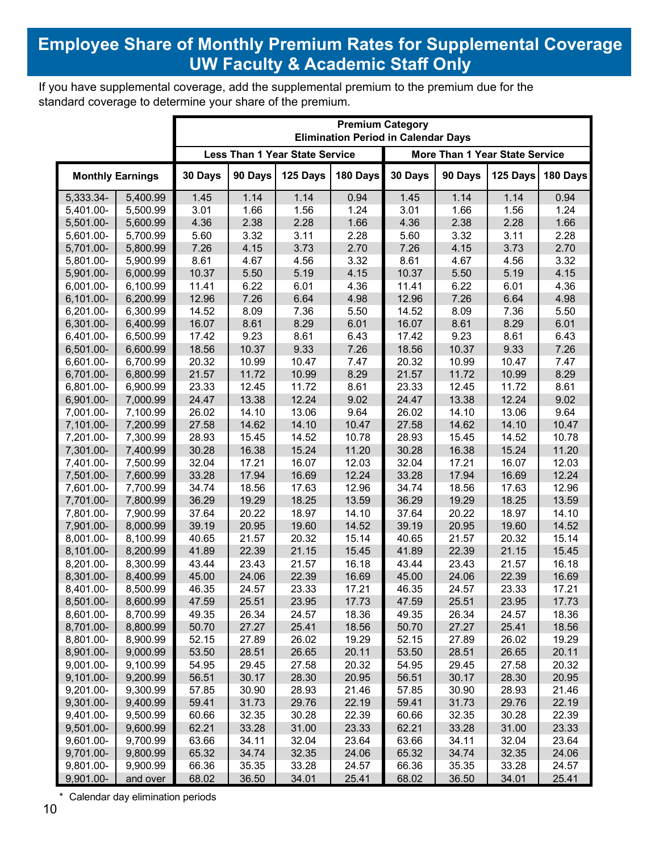## **Employee Share of Monthly Premium Rates for Supplemental Coverage** UW Faculty & Academic Staff Only

If you have supplemental coverage, add the supplemental premium to the premium due for the standard coverage to determine your share of the premium.

|                         |          | <b>Premium Category</b><br><b>Elimination Period in Calendar Days</b>   |         |          |          |         |         |          |          |
|-------------------------|----------|-------------------------------------------------------------------------|---------|----------|----------|---------|---------|----------|----------|
|                         |          | <b>Less Than 1 Year State Service</b><br>More Than 1 Year State Service |         |          |          |         |         |          |          |
| <b>Monthly Earnings</b> |          | 30 Days                                                                 | 90 Days | 125 Days | 180 Days | 30 Days | 90 Days | 125 Days | 180 Days |
| 5,333.34-               | 5,400.99 | 1.45                                                                    | 1.14    | 1.14     | 0.94     | 1.45    | 1.14    | 1.14     | 0.94     |
| 5,401.00-               | 5,500.99 | 3.01                                                                    | 1.66    | 1.56     | 1.24     | 3.01    | 1.66    | 1.56     | 1.24     |
| 5,501.00-               | 5,600.99 | 4.36                                                                    | 2.38    | 2.28     | 1.66     | 4.36    | 2.38    | 2.28     | 1.66     |
| 5,601.00-               | 5,700.99 | 5.60                                                                    | 3.32    | 3.11     | 2.28     | 5.60    | 3.32    | 3.11     | 2.28     |
| 5,701.00-               | 5,800.99 | 7.26                                                                    | 4.15    | 3.73     | 2.70     | 7.26    | 4.15    | 3.73     | 2.70     |
| 5,801.00-               | 5,900.99 | 8.61                                                                    | 4.67    | 4.56     | 3.32     | 8.61    | 4.67    | 4.56     | 3.32     |
| 5,901.00-               | 6,000.99 | 10.37                                                                   | 5.50    | 5.19     | 4.15     | 10.37   | 5.50    | 5.19     | 4.15     |
| 6,001.00-               | 6,100.99 | 11.41                                                                   | 6.22    | 6.01     | 4.36     | 11.41   | 6.22    | 6.01     | 4.36     |
| 6,101.00-               | 6,200.99 | 12.96                                                                   | 7.26    | 6.64     | 4.98     | 12.96   | 7.26    | 6.64     | 4.98     |
| 6,201.00-               | 6,300.99 | 14.52                                                                   | 8.09    | 7.36     | 5.50     | 14.52   | 8.09    | 7.36     | 5.50     |
| 6,301.00-               | 6,400.99 | 16.07                                                                   | 8.61    | 8.29     | 6.01     | 16.07   | 8.61    | 8.29     | 6.01     |
| 6,401.00-               | 6,500.99 | 17.42                                                                   | 9.23    | 8.61     | 6.43     | 17.42   | 9.23    | 8.61     | 6.43     |
| 6,501.00-               | 6,600.99 | 18.56                                                                   | 10.37   | 9.33     | 7.26     | 18.56   | 10.37   | 9.33     | 7.26     |
| 6,601.00-               | 6,700.99 | 20.32                                                                   | 10.99   | 10.47    | 7.47     | 20.32   | 10.99   | 10.47    | 7.47     |
| 6,701.00-               | 6,800.99 | 21.57                                                                   | 11.72   | 10.99    | 8.29     | 21.57   | 11.72   | 10.99    | 8.29     |
| 6,801.00-               | 6,900.99 | 23.33                                                                   | 12.45   | 11.72    | 8.61     | 23.33   | 12.45   | 11.72    | 8.61     |
| 6,901.00-               | 7,000.99 | 24.47                                                                   | 13.38   | 12.24    | 9.02     | 24.47   | 13.38   | 12.24    | 9.02     |
| 7,001.00-               | 7,100.99 | 26.02                                                                   | 14.10   | 13.06    | 9.64     | 26.02   | 14.10   | 13.06    | 9.64     |
| 7,101.00-               | 7,200.99 | 27.58                                                                   | 14.62   | 14.10    | 10.47    | 27.58   | 14.62   | 14.10    | 10.47    |
| 7,201.00-               | 7,300.99 | 28.93                                                                   | 15.45   | 14.52    | 10.78    | 28.93   | 15.45   | 14.52    | 10.78    |
| 7,301.00-               | 7,400.99 | 30.28                                                                   | 16.38   | 15.24    | 11.20    | 30.28   | 16.38   | 15.24    | 11.20    |
| 7,401.00-               | 7,500.99 | 32.04                                                                   | 17.21   | 16.07    | 12.03    | 32.04   | 17.21   | 16.07    | 12.03    |
| 7,501.00-               | 7,600.99 | 33.28                                                                   | 17.94   | 16.69    | 12.24    | 33.28   | 17.94   | 16.69    | 12.24    |
| 7,601.00-               | 7,700.99 | 34.74                                                                   | 18.56   | 17.63    | 12.96    | 34.74   | 18.56   | 17.63    | 12.96    |
| 7,701.00-               | 7,800.99 | 36.29                                                                   | 19.29   | 18.25    | 13.59    | 36.29   | 19.29   | 18.25    | 13.59    |
| 7,801.00-               | 7,900.99 | 37.64                                                                   | 20.22   | 18.97    | 14.10    | 37.64   | 20.22   | 18.97    | 14.10    |
| 7,901.00-               | 8,000.99 | 39.19                                                                   | 20.95   | 19.60    | 14.52    | 39.19   | 20.95   | 19.60    | 14.52    |
| 8,001.00-               | 8,100.99 | 40.65                                                                   | 21.57   | 20.32    | 15.14    | 40.65   | 21.57   | 20.32    | 15.14    |
| 8,101.00-               | 8,200.99 | 41.89                                                                   | 22.39   | 21.15    | 15.45    | 41.89   | 22.39   | 21.15    | 15.45    |
| 8,201.00-               | 8,300.99 | 43.44                                                                   | 23.43   | 21.57    | 16.18    | 43.44   | 23.43   | 21.57    | 16.18    |
| 8,301.00-               | 8,400.99 | 45.00                                                                   | 24.06   | 22.39    | 16.69    | 45.00   | 24.06   | 22.39    | 16.69    |
| 8,401.00-               | 8,500.99 | 46.35                                                                   | 24.57   | 23.33    | 17.21    | 46.35   | 24.57   | 23.33    | 17.21    |
| 8,501.00-               | 8,600.99 | 47.59                                                                   | 25.51   | 23.95    | 17.73    | 47.59   | 25.51   | 23.95    | 17.73    |
| 8,601.00-               | 8,700.99 | 49.35                                                                   | 26.34   | 24.57    | 18.36    | 49.35   | 26.34   | 24.57    | 18.36    |
| 8,701.00-               | 8,800.99 | 50.70                                                                   | 27.27   | 25.41    | 18.56    | 50.70   | 27.27   | 25.41    | 18.56    |
| 8,801.00-               | 8,900.99 | 52.15                                                                   | 27.89   | 26.02    | 19.29    | 52.15   | 27.89   | 26.02    | 19.29    |
| 8,901.00-               | 9,000.99 | 53.50                                                                   | 28.51   | 26.65    | 20.11    | 53.50   | 28.51   | 26.65    | 20.11    |
| 9,001.00-               | 9,100.99 | 54.95                                                                   | 29.45   | 27.58    | 20.32    | 54.95   | 29.45   | 27.58    | 20.32    |
| 9,101.00-               | 9,200.99 | 56.51                                                                   | 30.17   | 28.30    | 20.95    | 56.51   | 30.17   | 28.30    | 20.95    |
| 9,201.00-               | 9,300.99 | 57.85                                                                   | 30.90   | 28.93    | 21.46    | 57.85   | 30.90   | 28.93    | 21.46    |
| 9,301.00-               | 9,400.99 | 59.41                                                                   | 31.73   | 29.76    | 22.19    | 59.41   | 31.73   | 29.76    | 22.19    |
| 9,401.00-               | 9,500.99 | 60.66                                                                   | 32.35   | 30.28    | 22.39    | 60.66   | 32.35   | 30.28    | 22.39    |
| 9,501.00-               | 9,600.99 | 62.21                                                                   | 33.28   | 31.00    | 23.33    | 62.21   | 33.28   | 31.00    | 23.33    |
| 9,601.00-               | 9,700.99 | 63.66                                                                   | 34.11   | 32.04    | 23.64    | 63.66   | 34.11   | 32.04    | 23.64    |
| 9,701.00-               | 9,800.99 | 65.32                                                                   | 34.74   | 32.35    | 24.06    | 65.32   | 34.74   | 32.35    | 24.06    |
| 9,801.00-               | 9,900.99 | 66.36                                                                   | 35.35   | 33.28    | 24.57    | 66.36   | 35.35   | 33.28    | 24.57    |
| 9,901.00-               | and over | 68.02                                                                   | 36.50   | 34.01    | 25.41    | 68.02   | 36.50   | 34.01    | 25.41    |

\* Calendar day elimination periods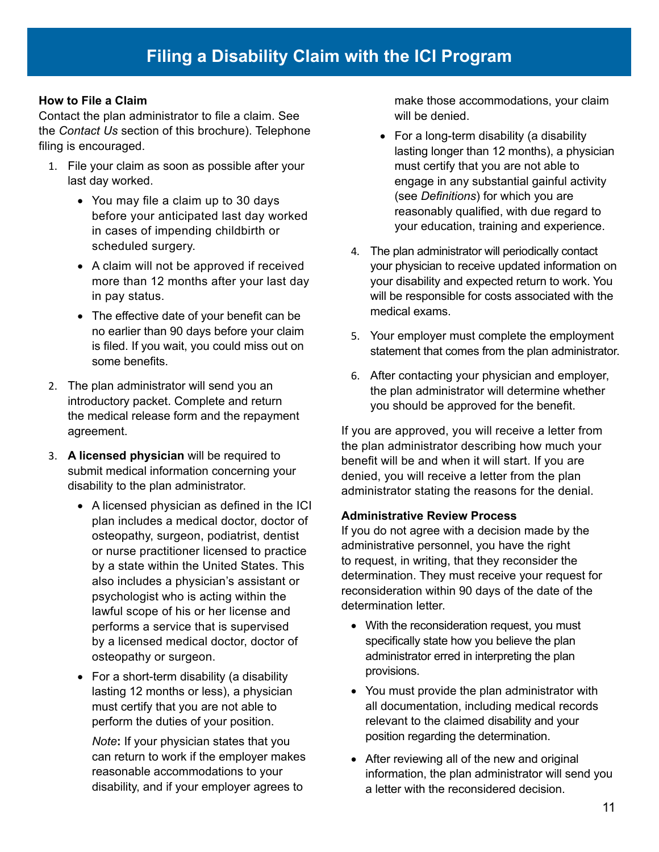#### **How to File a Claim**

Contact the plan administrator to file a claim. See the *Contact Us* section of this brochure). Telephone filing is encouraged.

- 1. File your claim as soon as possible after your last day worked.
	- You may file a claim up to 30 days before your anticipated last day worked in cases of impending childbirth or scheduled surgery.
	- A claim will not be approved if received more than 12 months after your last day in pay status.
	- The effective date of your benefit can be no earlier than 90 days before your claim is filed. If you wait, you could miss out on some benefits.
- 2. The plan administrator will send you an introductory packet. Complete and return the medical release form and the repayment agreement.
- 3. **A licensed physician** will be required to submit medical information concerning your disability to the plan administrator.
	- A licensed physician as defined in the ICI plan includes a medical doctor, doctor of osteopathy, surgeon, podiatrist, dentist or nurse practitioner licensed to practice by a state within the United States. This also includes a physician's assistant or psychologist who is acting within the lawful scope of his or her license and performs a service that is supervised by a licensed medical doctor, doctor of osteopathy or surgeon.
	- For a short-term disability (a disability lasting 12 months or less), a physician must certify that you are not able to perform the duties of your position.

*Note***:** If your physician states that you can return to work if the employer makes reasonable accommodations to your disability, and if your employer agrees to

make those accommodations, your claim will be denied.

- For a long-term disability (a disability lasting longer than 12 months), a physician must certify that you are not able to engage in any substantial gainful activity (see *Definitions*) for which you are reasonably qualified, with due regard to your education, training and experience.
- 4. The plan administrator will periodically contact your physician to receive updated information on your disability and expected return to work. You will be responsible for costs associated with the medical exams.
- 5. Your employer must complete the employment statement that comes from the plan administrator.
- 6. After contacting your physician and employer, the plan administrator will determine whether you should be approved for the benefit.

If you are approved, you will receive a letter from the plan administrator describing how much your benefit will be and when it will start. If you are denied, you will receive a letter from the plan administrator stating the reasons for the denial.

#### **Administrative Review Process**

If you do not agree with a decision made by the administrative personnel, you have the right to request, in writing, that they reconsider the determination. They must receive your request for reconsideration within 90 days of the date of the determination letter.

- With the reconsideration request, you must specifically state how you believe the plan administrator erred in interpreting the plan provisions.
- You must provide the plan administrator with all documentation, including medical records relevant to the claimed disability and your position regarding the determination.
- After reviewing all of the new and original information, the plan administrator will send you a letter with the reconsidered decision.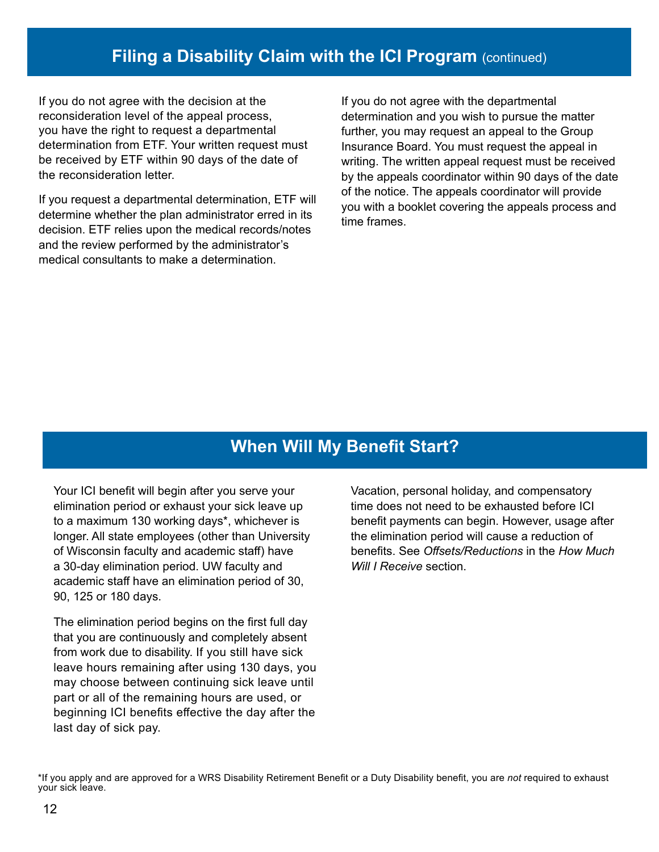## **Filing a Disability Claim with the ICI Program (continued)**

If you do not agree with the decision at the reconsideration level of the appeal process, you have the right to request a departmental determination from ETF. Your written request must be received by ETF within 90 days of the date of the reconsideration letter.

If you request a departmental determination, ETF will determine whether the plan administrator erred in its decision. ETF relies upon the medical records/notes and the review performed by the administrator's medical consultants to make a determination.

If you do not agree with the departmental determination and you wish to pursue the matter further, you may request an appeal to the Group Insurance Board. You must request the appeal in writing. The written appeal request must be received by the appeals coordinator within 90 days of the date of the notice. The appeals coordinator will provide you with a booklet covering the appeals process and time frames.

## **When Will My Benefit Start?**

Your ICI benefit will begin after you serve your elimination period or exhaust your sick leave up to a maximum 130 working days\*, whichever is longer. All state employees (other than University of Wisconsin faculty and academic staff) have a 30-day elimination period. UW faculty and academic staff have an elimination period of 30, 90, 125 or 180 days.

The elimination period begins on the first full day that you are continuously and completely absent from work due to disability. If you still have sick leave hours remaining after using 130 days, you may choose between continuing sick leave until part or all of the remaining hours are used, or beginning ICI benefits effective the day after the last day of sick pay.

Vacation, personal holiday, and compensatory time does not need to be exhausted before ICI benefit payments can begin. However, usage after the elimination period will cause a reduction of benefits. See *Offsets/Reductions* in the *How Much Will I Receive* section.

\*If you apply and are approved for a WRS Disability Retirement Benefit or a Duty Disability benefit, you are *not* required to exhaust your sick leave.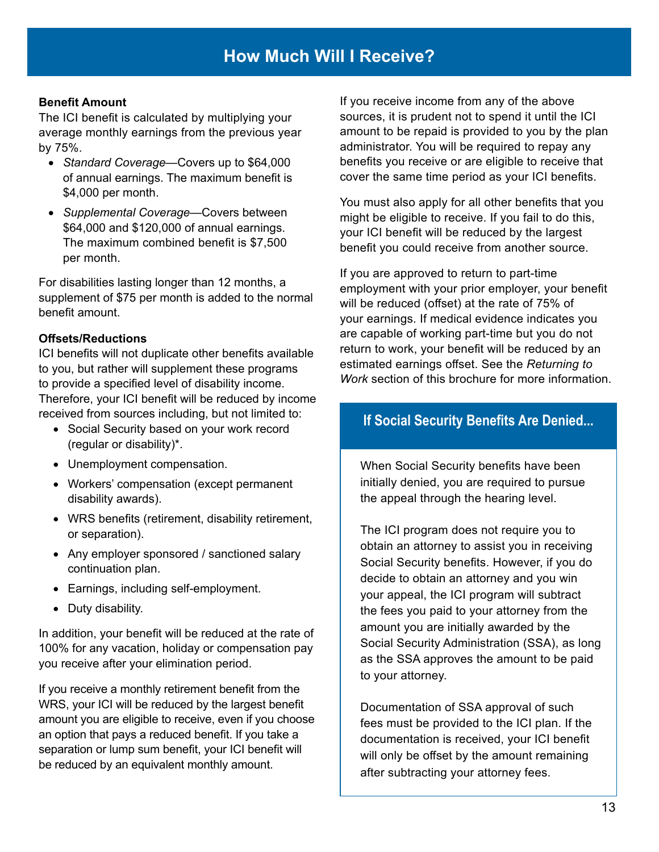#### **Benefit Amount**

The ICI benefit is calculated by multiplying your average monthly earnings from the previous year by 75%.

- *Standard Coverage*—Covers up to \$64,000 of annual earnings. The maximum benefit is \$4,000 per month.
- *Supplemental Coverage*—Covers between \$64,000 and \$120,000 of annual earnings. The maximum combined benefit is \$7,500 per month.

For disabilities lasting longer than 12 months, a supplement of \$75 per month is added to the normal benefit amount.

#### **Offsets/Reductions**

ICI benefits will not duplicate other benefits available to you, but rather will supplement these programs to provide a specified level of disability income. Therefore, your ICI benefit will be reduced by income received from sources including, but not limited to:

- Social Security based on your work record (regular or disability)\*.
- Unemployment compensation.
- Workers' compensation (except permanent disability awards).
- WRS benefits (retirement, disability retirement, or separation).
- Any employer sponsored / sanctioned salary continuation plan.
- Earnings, including self-employment.
- Duty disability.

In addition, your benefit will be reduced at the rate of 100% for any vacation, holiday or compensation pay you receive after your elimination period.

If you receive a monthly retirement benefit from the WRS, your ICI will be reduced by the largest benefit amount you are eligible to receive, even if you choose an option that pays a reduced benefit. If you take a separation or lump sum benefit, your ICI benefit will be reduced by an equivalent monthly amount.

If you receive income from any of the above sources, it is prudent not to spend it until the ICI amount to be repaid is provided to you by the plan administrator. You will be required to repay any benefits you receive or are eligible to receive that cover the same time period as your ICI benefits.

You must also apply for all other benefits that you might be eligible to receive. If you fail to do this, your ICI benefit will be reduced by the largest benefit you could receive from another source.

If you are approved to return to part-time employment with your prior employer, your benefit will be reduced (offset) at the rate of 75% of your earnings. If medical evidence indicates you are capable of working part-time but you do not return to work, your benefit will be reduced by an estimated earnings offset. See the *Returning to Work* section of this brochure for more information.

#### **If Social Security Benefits Are Denied...**

When Social Security benefits have been initially denied, you are required to pursue the appeal through the hearing level.

The ICI program does not require you to obtain an attorney to assist you in receiving Social Security benefits. However, if you do decide to obtain an attorney and you win your appeal, the ICI program will subtract the fees you paid to your attorney from the amount you are initially awarded by the Social Security Administration (SSA), as long as the SSA approves the amount to be paid to your attorney.

Documentation of SSA approval of such fees must be provided to the ICI plan. If the documentation is received, your ICI benefit will only be offset by the amount remaining after subtracting your attorney fees.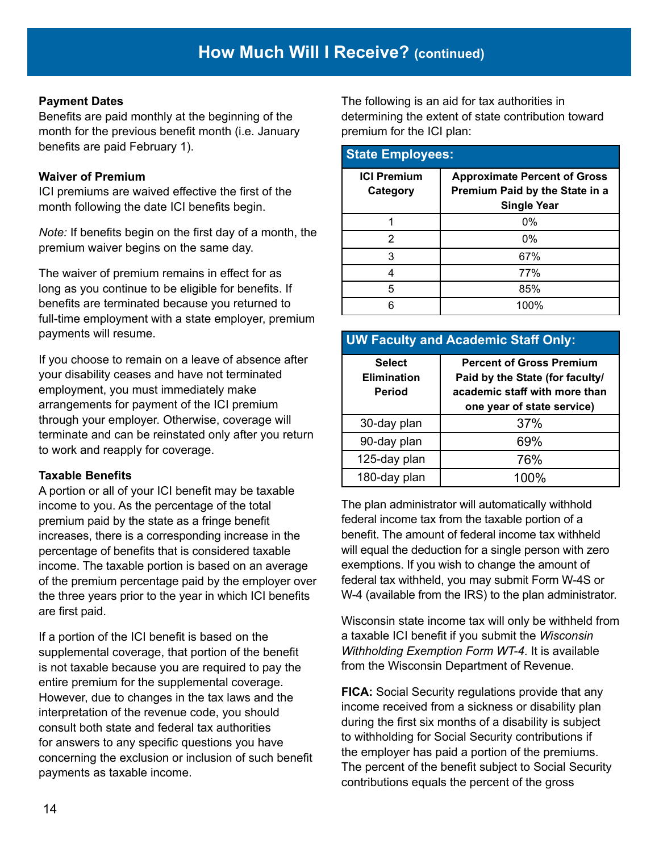#### **Payment Dates**

Benefits are paid monthly at the beginning of the month for the previous benefit month (i.e. January benefits are paid February 1).

#### **Waiver of Premium**

ICI premiums are waived effective the first of the month following the date ICI benefits begin.

*Note:* If benefits begin on the first day of a month, the premium waiver begins on the same day.

The waiver of premium remains in effect for as long as you continue to be eligible for benefits. If benefits are terminated because you returned to full-time employment with a state employer, premium payments will resume.

If you choose to remain on a leave of absence after your disability ceases and have not terminated employment, you must immediately make arrangements for payment of the ICI premium through your employer. Otherwise, coverage will terminate and can be reinstated only after you return to work and reapply for coverage.

#### **Taxable Benefits**

A portion or all of your ICI benefit may be taxable income to you. As the percentage of the total premium paid by the state as a fringe benefit increases, there is a corresponding increase in the percentage of benefits that is considered taxable income. The taxable portion is based on an average of the premium percentage paid by the employer over the three years prior to the year in which ICI benefits are first paid.

If a portion of the ICI benefit is based on the supplemental coverage, that portion of the benefit is not taxable because you are required to pay the entire premium for the supplemental coverage. However, due to changes in the tax laws and the interpretation of the revenue code, you should consult both state and federal tax authorities for answers to any specific questions you have concerning the exclusion or inclusion of such benefit payments as taxable income.

The following is an aid for tax authorities in determining the extent of state contribution toward premium for the ICI plan:

#### **State Employees:**

| <b>ICI Premium</b><br>Category | <b>Approximate Percent of Gross</b><br>Premium Paid by the State in a<br><b>Single Year</b> |
|--------------------------------|---------------------------------------------------------------------------------------------|
|                                | $0\%$                                                                                       |
| 2                              | 0%                                                                                          |
| 3                              | 67%                                                                                         |
|                                | 77%                                                                                         |
| 5                              | 85%                                                                                         |
|                                | 100%                                                                                        |

#### **UW Faculty and Academic Staff Only:**

| <b>Select</b><br><b>Elimination</b><br>Period | <b>Percent of Gross Premium</b><br>Paid by the State (for faculty/<br>academic staff with more than<br>one year of state service) |
|-----------------------------------------------|-----------------------------------------------------------------------------------------------------------------------------------|
| 30-day plan                                   | 37%                                                                                                                               |
| 90-day plan                                   | 69%                                                                                                                               |
| 125-day plan                                  | 76%                                                                                                                               |
| 180-day plan                                  | 100%                                                                                                                              |

The plan administrator will automatically withhold federal income tax from the taxable portion of a benefit. The amount of federal income tax withheld will equal the deduction for a single person with zero exemptions. If you wish to change the amount of federal tax withheld, you may submit Form W-4S or W-4 (available from the IRS) to the plan administrator.

Wisconsin state income tax will only be withheld from a taxable ICI benefit if you submit the *Wisconsin Withholding Exemption Form WT-4*. It is available from the Wisconsin Department of Revenue.

**FICA:** Social Security regulations provide that any income received from a sickness or disability plan during the first six months of a disability is subject to withholding for Social Security contributions if the employer has paid a portion of the premiums. The percent of the benefit subject to Social Security contributions equals the percent of the gross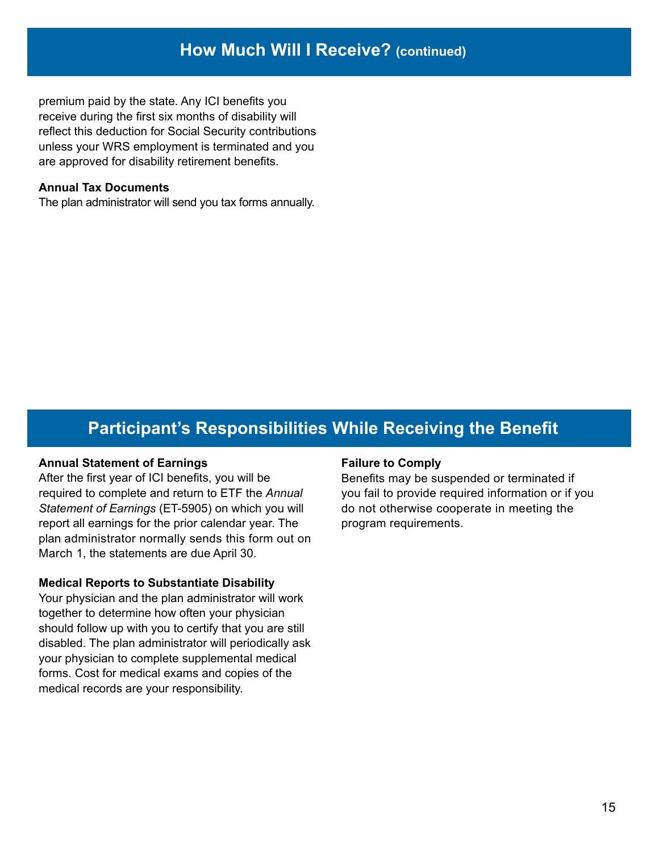premium paid by the state. Any ICI benefits you receive during the first six months of disability will reflect this deduction for Social Security contributions unless your WRS employment is terminated and you are approved for disability retirement benefits.

#### **Annual Tax Documents**

The plan administrator will send you tax forms annually.

## **Participant's Responsibilities While Receiving the Benefit**

#### **Annual Statement of Earnings**

After the first year of ICI benefits, you will be required to complete and return to ETF the *Annual Statement of Earnings* (ET‑5905) on which you will report all earnings for the prior calendar year. The plan administrator normally sends this form out on March 1, the statements are due April 30.

#### **Medical Reports to Substantiate Disability**

Your physician and the plan administrator will work together to determine how often your physician should follow up with you to certify that you are still disabled. The plan administrator will periodically ask your physician to complete supplemental medical forms. Cost for medical exams and copies of the medical records are your responsibility.

#### **Failure to Comply**

Benefits may be suspended or terminated if you fail to provide required information or if you do not otherwise cooperate in meeting the program requirements.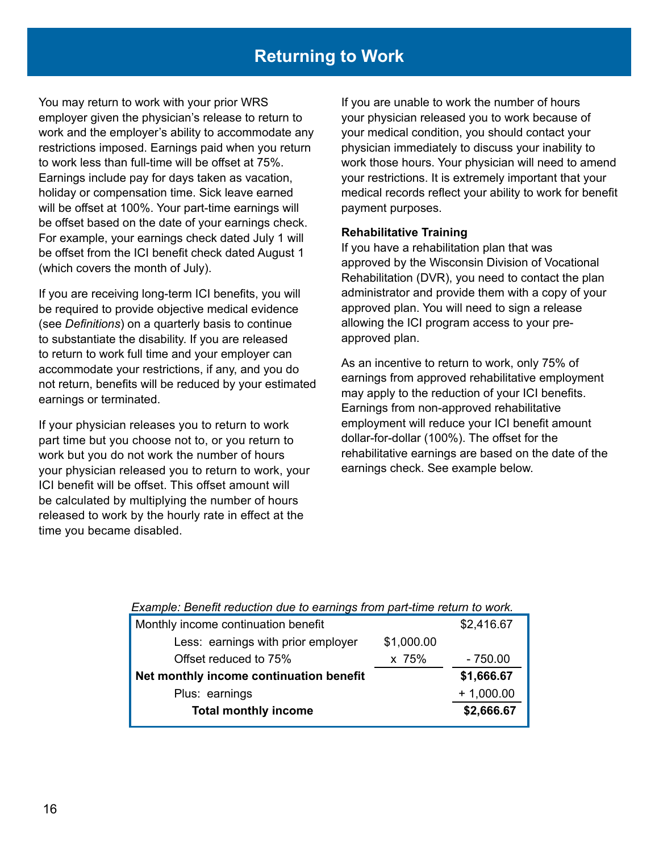## **Returning to Work**

You may return to work with your prior WRS employer given the physician's release to return to work and the employer's ability to accommodate any restrictions imposed. Earnings paid when you return to work less than full-time will be offset at 75%. Earnings include pay for days taken as vacation, holiday or compensation time. Sick leave earned will be offset at 100%. Your part-time earnings will be offset based on the date of your earnings check. For example, your earnings check dated July 1 will be offset from the ICI benefit check dated August 1 (which covers the month of July).

If you are receiving long-term ICI benefits, you will be required to provide objective medical evidence (see *Definitions*) on a quarterly basis to continue to substantiate the disability. If you are released to return to work full time and your employer can accommodate your restrictions, if any, and you do not return, benefits will be reduced by your estimated earnings or terminated.

If your physician releases you to return to work part time but you choose not to, or you return to work but you do not work the number of hours your physician released you to return to work, your ICI benefit will be offset. This offset amount will be calculated by multiplying the number of hours released to work by the hourly rate in effect at the time you became disabled.

If you are unable to work the number of hours your physician released you to work because of your medical condition, you should contact your physician immediately to discuss your inability to work those hours. Your physician will need to amend your restrictions. It is extremely important that your medical records reflect your ability to work for benefit payment purposes.

#### **Rehabilitative Training**

If you have a rehabilitation plan that was approved by the Wisconsin Division of Vocational Rehabilitation (DVR), you need to contact the plan administrator and provide them with a copy of your approved plan. You will need to sign a release allowing the ICI program access to your preapproved plan.

As an incentive to return to work, only 75% of earnings from approved rehabilitative employment may apply to the reduction of your ICI benefits. Earnings from non-approved rehabilitative employment will reduce your ICI benefit amount dollar-for-dollar (100%). The offset for the rehabilitative earnings are based on the date of the earnings check. See example below.

#### *Example: Benefit reduction due to earnings from part-time return to work.*

| Monthly income continuation benefit     |            | \$2,416.67  |
|-----------------------------------------|------------|-------------|
| Less: earnings with prior employer      | \$1,000.00 |             |
| Offset reduced to 75%                   | x 75%      | $-750.00$   |
| Net monthly income continuation benefit |            | \$1,666.67  |
| Plus: earnings                          |            | $+1,000.00$ |
| <b>Total monthly income</b>             |            | \$2,666.67  |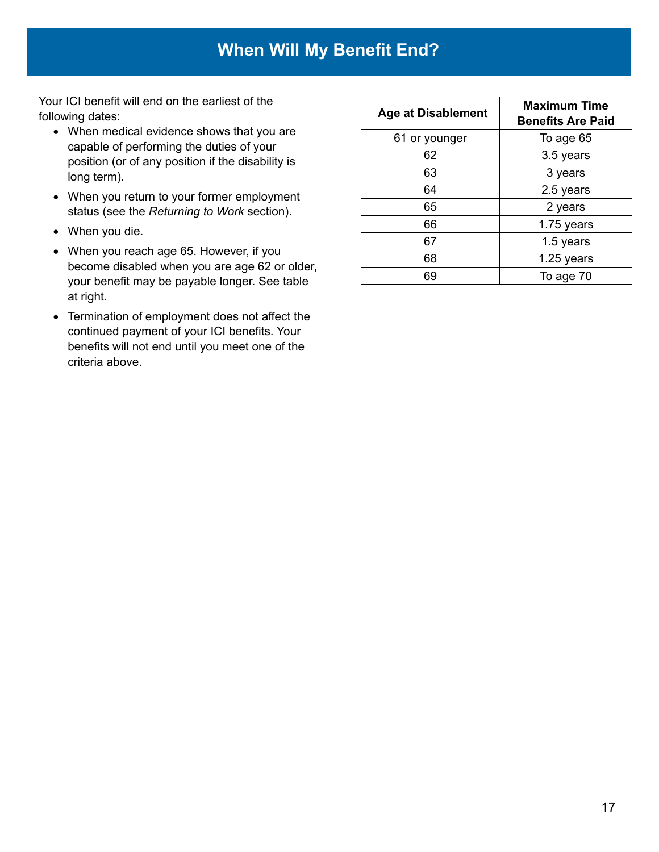Your ICI benefit will end on the earliest of the following dates:

- When medical evidence shows that you are capable of performing the duties of your position (or of any position if the disability is long term).
- When you return to your former employment status (see the *Returning to Work* section).
- When you die.
- When you reach age 65. However, if you become disabled when you are age 62 or older, your benefit may be payable longer. See table at right.
- Termination of employment does not affect the continued payment of your ICI benefits. Your benefits will not end until you meet one of the criteria above.

| <b>Age at Disablement</b> | <b>Maximum Time</b><br><b>Benefits Are Paid</b> |  |
|---------------------------|-------------------------------------------------|--|
| 61 or younger             | To age 65                                       |  |
| 62                        | 3.5 years                                       |  |
| 63                        | 3 years                                         |  |
| 64                        | 2.5 years                                       |  |
| 65                        | 2 years                                         |  |
| 66                        | 1.75 years                                      |  |
| 67                        | 1.5 years                                       |  |
| 68                        | 1.25 years                                      |  |
| 69                        | To age 70                                       |  |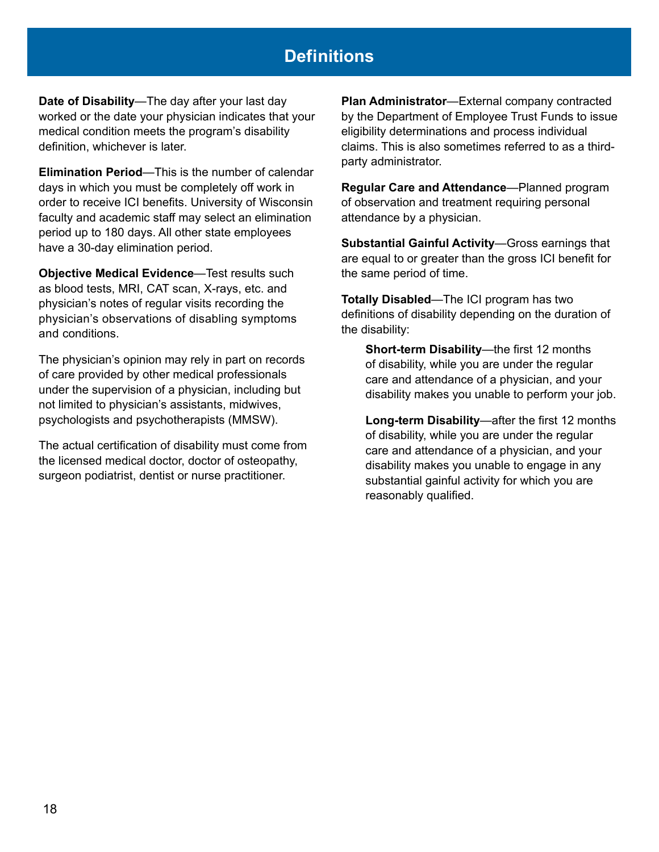## **Definitions**

**Date of Disability**—The day after your last day worked or the date your physician indicates that your medical condition meets the program's disability definition, whichever is later.

**Elimination Period**—This is the number of calendar days in which you must be completely off work in order to receive ICI benefits. University of Wisconsin faculty and academic staff may select an elimination period up to 180 days. All other state employees have a 30-day elimination period.

**Objective Medical Evidence**—Test results such as blood tests, MRI, CAT scan, X-rays, etc. and physician's notes of regular visits recording the physician's observations of disabling symptoms and conditions.

The physician's opinion may rely in part on records of care provided by other medical professionals under the supervision of a physician, including but not limited to physician's assistants, midwives, psychologists and psychotherapists (MMSW).

The actual certification of disability must come from the licensed medical doctor, doctor of osteopathy, surgeon podiatrist, dentist or nurse practitioner.

**Plan Administrator**—External company contracted by the Department of Employee Trust Funds to issue eligibility determinations and process individual claims. This is also sometimes referred to as a thirdparty administrator.

**Regular Care and Attendance**—Planned program of observation and treatment requiring personal attendance by a physician.

**Substantial Gainful Activity**—Gross earnings that are equal to or greater than the gross ICI benefit for the same period of time.

**Totally Disabled**—The ICI program has two definitions of disability depending on the duration of the disability:

**Short-term Disability**—the first 12 months of disability, while you are under the regular care and attendance of a physician, and your disability makes you unable to perform your job.

**Long-term Disability**—after the first 12 months of disability, while you are under the regular care and attendance of a physician, and your disability makes you unable to engage in any substantial gainful activity for which you are reasonably qualified.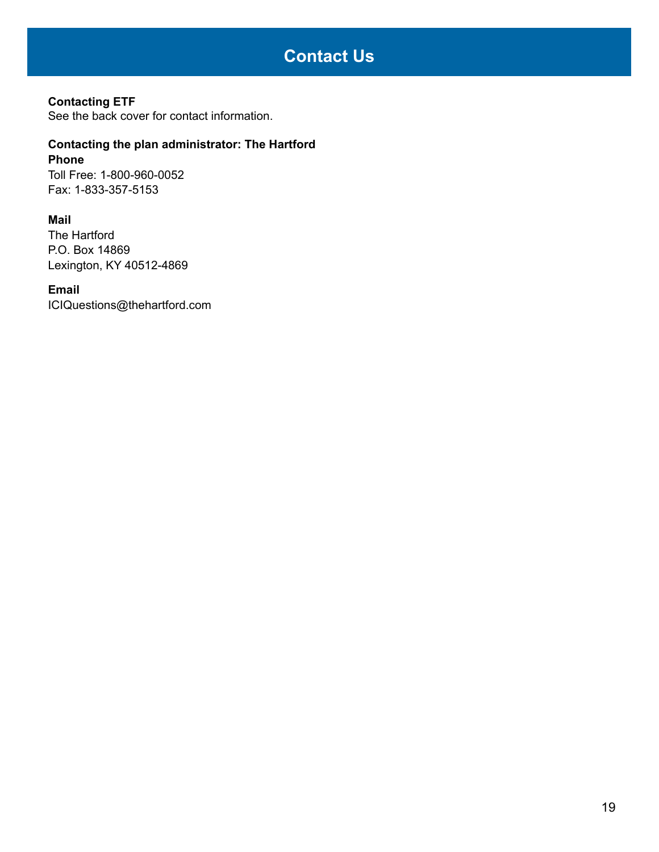## **Contact Us**

#### **Contacting ETF**

See the back cover for contact information.

#### **Contacting the plan administrator: The Hartford Phone**

Toll Free: 1-800-960-0052 Fax: 1-833-357-5153

#### **Mail**

The Hartford P.O. Box 14869 Lexington, KY 40512-4869

#### **Email**

[ICIQuestions@thehartford.com](mailto:ICIQuestions@thehartford.com)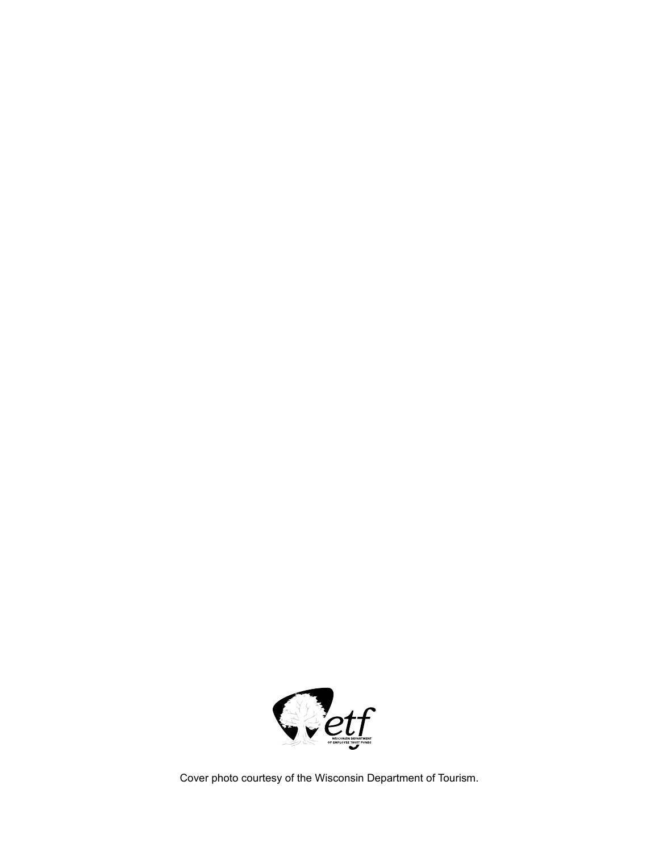

Cover photo courtesy of the Wisconsin Department of Tourism.